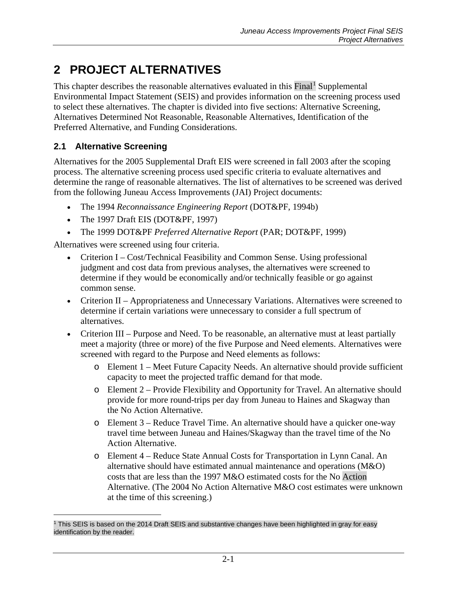# **2 PROJECT ALTERNATIVES**

This chapter describes the reasonable alternatives evaluated in this Final<sup>[1](#page-0-0)</sup> Supplemental Environmental Impact Statement (SEIS) and provides information on the screening process used to select these alternatives. The chapter is divided into five sections: Alternative Screening, Alternatives Determined Not Reasonable, Reasonable Alternatives, Identification of the Preferred Alternative, and Funding Considerations.

# <span id="page-0-1"></span>**2.1 Alternative Screening**

 $\overline{a}$ 

Alternatives for the 2005 Supplemental Draft EIS were screened in fall 2003 after the scoping process. The alternative screening process used specific criteria to evaluate alternatives and determine the range of reasonable alternatives. The list of alternatives to be screened was derived from the following Juneau Access Improvements (JAI) Project documents:

- The 1994 *Reconnaissance Engineering Report* (DOT&PF, 1994b)
- The 1997 Draft EIS (DOT&PF, 1997)
- The 1999 DOT&PF *Preferred Alternative Report* (PAR; DOT&PF, 1999)

Alternatives were screened using four criteria.

- Criterion I Cost/Technical Feasibility and Common Sense. Using professional judgment and cost data from previous analyses, the alternatives were screened to determine if they would be economically and/or technically feasible or go against common sense.
- Criterion II Appropriateness and Unnecessary Variations. Alternatives were screened to determine if certain variations were unnecessary to consider a full spectrum of alternatives.
- Criterion III Purpose and Need. To be reasonable, an alternative must at least partially meet a majority (three or more) of the five Purpose and Need elements. Alternatives were screened with regard to the Purpose and Need elements as follows:
	- o Element 1 Meet Future Capacity Needs. An alternative should provide sufficient capacity to meet the projected traffic demand for that mode.
	- o Element 2 Provide Flexibility and Opportunity for Travel. An alternative should provide for more round-trips per day from Juneau to Haines and Skagway than the No Action Alternative.
	- o Element 3 Reduce Travel Time. An alternative should have a quicker one-way travel time between Juneau and Haines/Skagway than the travel time of the No Action Alternative.
	- o Element 4 Reduce State Annual Costs for Transportation in Lynn Canal. An alternative should have estimated annual maintenance and operations (M&O) costs that are less than the 1997 M&O estimated costs for the No Action Alternative. (The 2004 No Action Alternative M&O cost estimates were unknown at the time of this screening.)

<span id="page-0-0"></span><sup>1</sup> This SEIS is based on the 2014 Draft SEIS and substantive changes have been highlighted in gray for easy identification by the reader.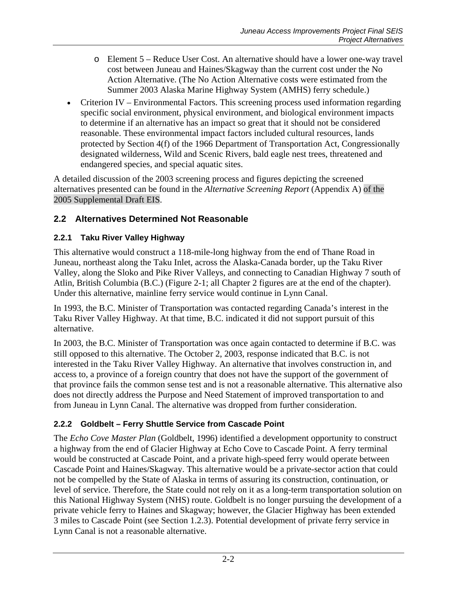- o Element 5 Reduce User Cost. An alternative should have a lower one-way travel cost between Juneau and Haines/Skagway than the current cost under the No Action Alternative. (The No Action Alternative costs were estimated from the Summer 2003 Alaska Marine Highway System (AMHS) ferry schedule.)
- Criterion IV Environmental Factors. This screening process used information regarding specific social environment, physical environment, and biological environment impacts to determine if an alternative has an impact so great that it should not be considered reasonable. These environmental impact factors included cultural resources, lands protected by Section 4(f) of the 1966 Department of Transportation Act, Congressionally designated wilderness, Wild and Scenic Rivers, bald eagle nest trees, threatened and endangered species, and special aquatic sites.

A detailed discussion of the 2003 screening process and figures depicting the screened alternatives presented can be found in the *Alternative Screening Report* (Appendix A) of the 2005 Supplemental Draft EIS.

# **2.2 Alternatives Determined Not Reasonable**

# <span id="page-1-0"></span>**2.2.1 Taku River Valley Highway**

This alternative would construct a 118-mile-long highway from the end of Thane Road in Juneau, northeast along the Taku Inlet, across the Alaska-Canada border, up the Taku River Valley, along the Sloko and Pike River Valleys, and connecting to Canadian Highway 7 south of Atlin, British Columbia (B.C.) (Figure 2-1; all Chapter 2 figures are at the end of the chapter). Under this alternative, mainline ferry service would continue in Lynn Canal.

In 1993, the B.C. Minister of Transportation was contacted regarding Canada's interest in the Taku River Valley Highway. At that time, B.C. indicated it did not support pursuit of this alternative.

In 2003, the B.C. Minister of Transportation was once again contacted to determine if B.C. was still opposed to this alternative. The October 2, 2003, response indicated that B.C. is not interested in the Taku River Valley Highway. An alternative that involves construction in, and access to, a province of a foreign country that does not have the support of the government of that province fails the common sense test and is not a reasonable alternative. This alternative also does not directly address the Purpose and Need Statement of improved transportation to and from Juneau in Lynn Canal. The alternative was dropped from further consideration.

# **2.2.2 Goldbelt – Ferry Shuttle Service from Cascade Point**

The *Echo Cove Master Plan* (Goldbelt, 1996) identified a development opportunity to construct a highway from the end of Glacier Highway at Echo Cove to Cascade Point. A ferry terminal would be constructed at Cascade Point, and a private high-speed ferry would operate between Cascade Point and Haines/Skagway. This alternative would be a private-sector action that could not be compelled by the State of Alaska in terms of assuring its construction, continuation, or level of service. Therefore, the State could not rely on it as a long-term transportation solution on this National Highway System (NHS) route. Goldbelt is no longer pursuing the development of a private vehicle ferry to Haines and Skagway; however, the Glacier Highway has been extended 3 miles to Cascade Point (see Section 1.2.3). Potential development of private ferry service in Lynn Canal is not a reasonable alternative.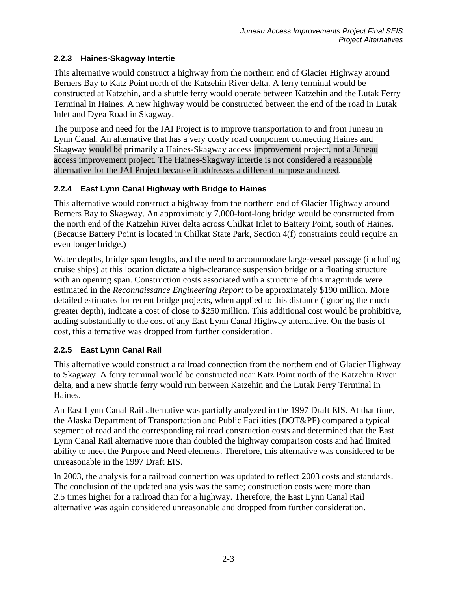# <span id="page-2-2"></span>**2.2.3 Haines-Skagway Intertie**

This alternative would construct a highway from the northern end of Glacier Highway around Berners Bay to Katz Point north of the Katzehin River delta. A ferry terminal would be constructed at Katzehin, and a shuttle ferry would operate between Katzehin and the Lutak Ferry Terminal in Haines. A new highway would be constructed between the end of the road in Lutak Inlet and Dyea Road in Skagway.

The purpose and need for the JAI Project is to improve transportation to and from Juneau in Lynn Canal. An alternative that has a very costly road component connecting Haines and Skagway would be primarily a Haines-Skagway access improvement project, not a Juneau access improvement project. The Haines-Skagway intertie is not considered a reasonable alternative for the JAI Project because it addresses a different purpose and need.

# <span id="page-2-0"></span>**2.2.4 East Lynn Canal Highway with Bridge to Haines**

This alternative would construct a highway from the northern end of Glacier Highway around Berners Bay to Skagway. An approximately 7,000-foot-long bridge would be constructed from the north end of the Katzehin River delta across Chilkat Inlet to Battery Point, south of Haines. (Because Battery Point is located in Chilkat State Park, Section 4(f) constraints could require an even longer bridge.)

Water depths, bridge span lengths, and the need to accommodate large-vessel passage (including cruise ships) at this location dictate a high-clearance suspension bridge or a floating structure with an opening span. Construction costs associated with a structure of this magnitude were estimated in the *Reconnaissance Engineering Report* to be approximately \$190 million. More detailed estimates for recent bridge projects, when applied to this distance (ignoring the much greater depth), indicate a cost of close to \$250 million. This additional cost would be prohibitive, adding substantially to the cost of any East Lynn Canal Highway alternative. On the basis of cost, this alternative was dropped from further consideration.

# <span id="page-2-1"></span>**2.2.5 East Lynn Canal Rail**

This alternative would construct a railroad connection from the northern end of Glacier Highway to Skagway. A ferry terminal would be constructed near Katz Point north of the Katzehin River delta, and a new shuttle ferry would run between Katzehin and the Lutak Ferry Terminal in Haines.

An East Lynn Canal Rail alternative was partially analyzed in the 1997 Draft EIS. At that time, the Alaska Department of Transportation and Public Facilities (DOT&PF) compared a typical segment of road and the corresponding railroad construction costs and determined that the East Lynn Canal Rail alternative more than doubled the highway comparison costs and had limited ability to meet the Purpose and Need elements. Therefore, this alternative was considered to be unreasonable in the 1997 Draft EIS.

In 2003, the analysis for a railroad connection was updated to reflect 2003 costs and standards. The conclusion of the updated analysis was the same; construction costs were more than 2.5 times higher for a railroad than for a highway. Therefore, the East Lynn Canal Rail alternative was again considered unreasonable and dropped from further consideration.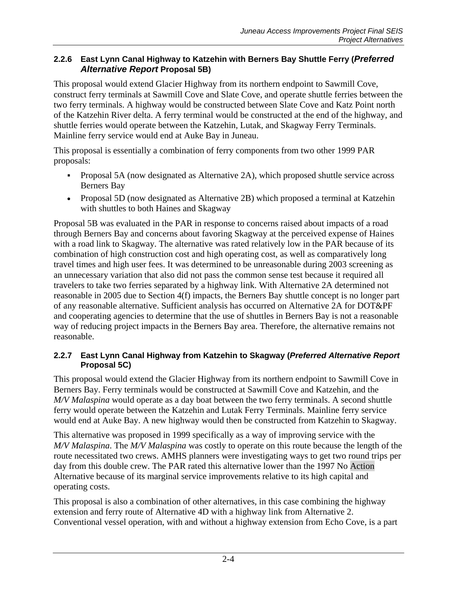# **2.2.6 East Lynn Canal Highway to Katzehin with Berners Bay Shuttle Ferry (***Preferred Alternative Report* **Proposal 5B)**

This proposal would extend Glacier Highway from its northern endpoint to Sawmill Cove, construct ferry terminals at Sawmill Cove and Slate Cove, and operate shuttle ferries between the two ferry terminals. A highway would be constructed between Slate Cove and Katz Point north of the Katzehin River delta. A ferry terminal would be constructed at the end of the highway, and shuttle ferries would operate between the Katzehin, Lutak, and Skagway Ferry Terminals. Mainline ferry service would end at Auke Bay in Juneau.

This proposal is essentially a combination of ferry components from two other 1999 PAR proposals:

- Proposal 5A (now designated as Alternative 2A), which proposed shuttle service across Berners Bay
- Proposal 5D (now designated as Alternative 2B) which proposed a terminal at Katzehin with shuttles to both Haines and Skagway

Proposal 5B was evaluated in the PAR in response to concerns raised about impacts of a road through Berners Bay and concerns about favoring Skagway at the perceived expense of Haines with a road link to Skagway. The alternative was rated relatively low in the PAR because of its combination of high construction cost and high operating cost, as well as comparatively long travel times and high user fees. It was determined to be unreasonable during 2003 screening as an unnecessary variation that also did not pass the common sense test because it required all travelers to take two ferries separated by a highway link. With Alternative 2A determined not reasonable in 2005 due to Section 4(f) impacts, the Berners Bay shuttle concept is no longer part of any reasonable alternative. Sufficient analysis has occurred on Alternative 2A for DOT&PF and cooperating agencies to determine that the use of shuttles in Berners Bay is not a reasonable way of reducing project impacts in the Berners Bay area. Therefore, the alternative remains not reasonable.

### **2.2.7 East Lynn Canal Highway from Katzehin to Skagway (***Preferred Alternative Report* **Proposal 5C)**

This proposal would extend the Glacier Highway from its northern endpoint to Sawmill Cove in Berners Bay. Ferry terminals would be constructed at Sawmill Cove and Katzehin, and the *M/V Malaspina* would operate as a day boat between the two ferry terminals. A second shuttle ferry would operate between the Katzehin and Lutak Ferry Terminals. Mainline ferry service would end at Auke Bay. A new highway would then be constructed from Katzehin to Skagway.

This alternative was proposed in 1999 specifically as a way of improving service with the *M/V Malaspina*. The *M/V Malaspina* was costly to operate on this route because the length of the route necessitated two crews. AMHS planners were investigating ways to get two round trips per day from this double crew. The PAR rated this alternative lower than the 1997 No Action Alternative because of its marginal service improvements relative to its high capital and operating costs.

This proposal is also a combination of other alternatives, in this case combining the highway extension and ferry route of Alternative 4D with a highway link from Alternative 2. Conventional vessel operation, with and without a highway extension from Echo Cove, is a part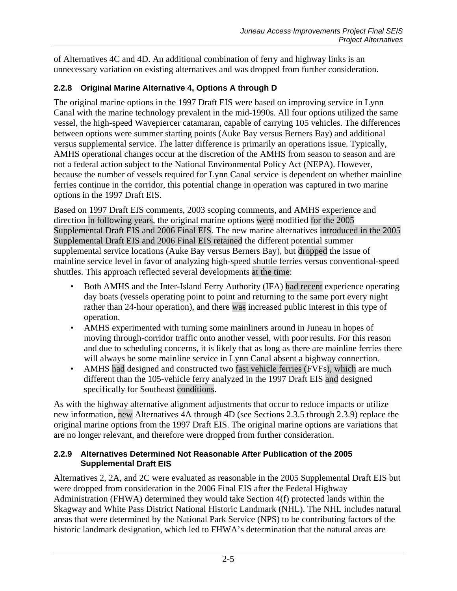of Alternatives 4C and 4D. An additional combination of ferry and highway links is an unnecessary variation on existing alternatives and was dropped from further consideration.

# **2.2.8 Original Marine Alternative 4, Options A through D**

The original marine options in the 1997 Draft EIS were based on improving service in Lynn Canal with the marine technology prevalent in the mid-1990s. All four options utilized the same vessel, the high-speed Wavepiercer catamaran, capable of carrying 105 vehicles. The differences between options were summer starting points (Auke Bay versus Berners Bay) and additional versus supplemental service. The latter difference is primarily an operations issue. Typically, AMHS operational changes occur at the discretion of the AMHS from season to season and are not a federal action subject to the National Environmental Policy Act (NEPA). However, because the number of vessels required for Lynn Canal service is dependent on whether mainline ferries continue in the corridor, this potential change in operation was captured in two marine options in the 1997 Draft EIS.

Based on 1997 Draft EIS comments, 2003 scoping comments, and AMHS experience and direction in following years, the original marine options were modified for the 2005 Supplemental Draft EIS and 2006 Final EIS. The new marine alternatives introduced in the 2005 Supplemental Draft EIS and 2006 Final EIS retained the different potential summer supplemental service locations (Auke Bay versus Berners Bay), but dropped the issue of mainline service level in favor of analyzing high-speed shuttle ferries versus conventional-speed shuttles. This approach reflected several developments at the time:

- Both AMHS and the Inter-Island Ferry Authority (IFA) had recent experience operating day boats (vessels operating point to point and returning to the same port every night rather than 24-hour operation), and there was increased public interest in this type of operation.
- AMHS experimented with turning some mainliners around in Juneau in hopes of moving through-corridor traffic onto another vessel, with poor results. For this reason and due to scheduling concerns, it is likely that as long as there are mainline ferries there will always be some mainline service in Lynn Canal absent a highway connection.
- AMHS had designed and constructed two fast vehicle ferries (FVFs), which are much different than the 105-vehicle ferry analyzed in the 1997 Draft EIS and designed specifically for Southeast conditions.

As with the highway alternative alignment adjustments that occur to reduce impacts or utilize new information, new Alternatives 4A through 4D (see Sections [2.3.5](#page-25-0) through [2.3.9\)](#page-33-0) replace the original marine options from the 1997 Draft EIS. The original marine options are variations that are no longer relevant, and therefore were dropped from further consideration.

### <span id="page-4-0"></span>**2.2.9 Alternatives Determined Not Reasonable After Publication of the 2005 Supplemental Draft EIS**

Alternatives 2, 2A, and 2C were evaluated as reasonable in the 2005 Supplemental Draft EIS but were dropped from consideration in the 2006 Final EIS after the Federal Highway Administration (FHWA) determined they would take Section 4(f) protected lands within the Skagway and White Pass District National Historic Landmark (NHL). The NHL includes natural areas that were determined by the National Park Service (NPS) to be contributing factors of the historic landmark designation, which led to FHWA's determination that the natural areas are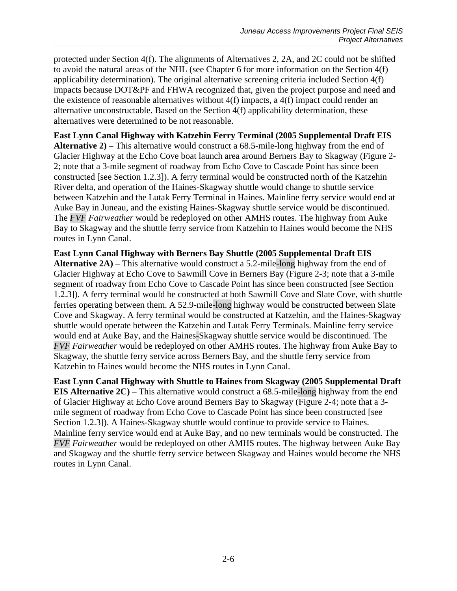protected under Section 4(f). The alignments of Alternatives 2, 2A, and 2C could not be shifted to avoid the natural areas of the NHL (see Chapter 6 for more information on the Section 4(f) applicability determination). The original alternative screening criteria included Section 4(f) impacts because DOT&PF and FHWA recognized that, given the project purpose and need and the existence of reasonable alternatives without 4(f) impacts, a 4(f) impact could render an alternative unconstructable. Based on the Section 4(f) applicability determination, these alternatives were determined to be not reasonable.

**East Lynn Canal Highway with Katzehin Ferry Terminal (2005 Supplemental Draft EIS Alternative 2)** – This alternative would construct a 68.5-mile-long highway from the end of Glacier Highway at the Echo Cove boat launch area around Berners Bay to Skagway (Figure 2- 2; note that a 3-mile segment of roadway from Echo Cove to Cascade Point has since been constructed [see Section 1.2.3]). A ferry terminal would be constructed north of the Katzehin River delta, and operation of the Haines-Skagway shuttle would change to shuttle service between Katzehin and the Lutak Ferry Terminal in Haines. Mainline ferry service would end at Auke Bay in Juneau, and the existing Haines-Skagway shuttle service would be discontinued. The *FVF Fairweather* would be redeployed on other AMHS routes. The highway from Auke Bay to Skagway and the shuttle ferry service from Katzehin to Haines would become the NHS routes in Lynn Canal.

**East Lynn Canal Highway with Berners Bay Shuttle (2005 Supplemental Draft EIS Alternative 2A)** – This alternative would construct a 5.2-mile-long highway from the end of Glacier Highway at Echo Cove to Sawmill Cove in Berners Bay (Figure 2-3; note that a 3-mile segment of roadway from Echo Cove to Cascade Point has since been constructed [see Section 1.2.3]). A ferry terminal would be constructed at both Sawmill Cove and Slate Cove, with shuttle ferries operating between them. A 52.9-mile-long highway would be constructed between Slate Cove and Skagway. A ferry terminal would be constructed at Katzehin, and the Haines-Skagway shuttle would operate between the Katzehin and Lutak Ferry Terminals. Mainline ferry service would end at Auke Bay, and the Haines-Skagway shuttle service would be discontinued. The *FVF Fairweather* would be redeployed on other AMHS routes. The highway from Auke Bay to Skagway, the shuttle ferry service across Berners Bay, and the shuttle ferry service from Katzehin to Haines would become the NHS routes in Lynn Canal.

**East Lynn Canal Highway with Shuttle to Haines from Skagway (2005 Supplemental Draft EIS Alternative 2C)** – This alternative would construct a 68.5-mile-long highway from the end of Glacier Highway at Echo Cove around Berners Bay to Skagway (Figure 2-4; note that a 3 mile segment of roadway from Echo Cove to Cascade Point has since been constructed [see Section 1.2.3]). A Haines-Skagway shuttle would continue to provide service to Haines. Mainline ferry service would end at Auke Bay, and no new terminals would be constructed. The *FVF Fairweather* would be redeployed on other AMHS routes. The highway between Auke Bay and Skagway and the shuttle ferry service between Skagway and Haines would become the NHS routes in Lynn Canal.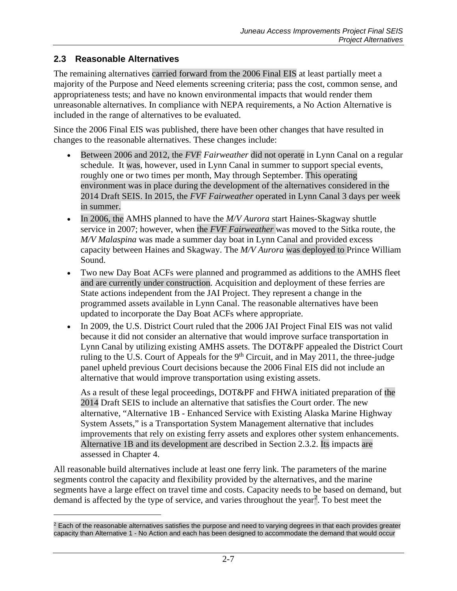# <span id="page-6-1"></span>**2.3 Reasonable Alternatives**

 $\overline{a}$ 

The remaining alternatives carried forward from the 2006 Final EIS at least partially meet a majority of the Purpose and Need elements screening criteria; pass the cost, common sense, and appropriateness tests; and have no known environmental impacts that would render them unreasonable alternatives. In compliance with NEPA requirements, a No Action Alternative is included in the range of alternatives to be evaluated.

Since the 2006 Final EIS was published, there have been other changes that have resulted in changes to the reasonable alternatives. These changes include:

- Between 2006 and 2012, the *FVF Fairweather* did not operate in Lynn Canal on a regular schedule. It was, however, used in Lynn Canal in summer to support special events, roughly one or two times per month, May through September. This operating environment was in place during the development of the alternatives considered in the 2014 Draft SEIS. In 2015, the *FVF Fairweather* operated in Lynn Canal 3 days per week in summer.
- In 2006, the AMHS planned to have the *M/V Aurora* start Haines-Skagway shuttle service in 2007; however, when the *FVF Fairweather* was moved to the Sitka route, the *M/V Malaspina* was made a summer day boat in Lynn Canal and provided excess capacity between Haines and Skagway. The *M/V Aurora* was deployed to Prince William Sound.
- Two new Day Boat ACFs were planned and programmed as additions to the AMHS fleet and are currently under construction. Acquisition and deployment of these ferries are State actions independent from the JAI Project. They represent a change in the programmed assets available in Lynn Canal. The reasonable alternatives have been updated to incorporate the Day Boat ACFs where appropriate.
- In 2009, the U.S. District Court ruled that the 2006 JAI Project Final EIS was not valid because it did not consider an alternative that would improve surface transportation in Lynn Canal by utilizing existing AMHS assets. The DOT&PF appealed the District Court ruling to the U.S. Court of Appeals for the  $9<sup>th</sup>$  Circuit, and in May 2011, the three-judge panel upheld previous Court decisions because the 2006 Final EIS did not include an alternative that would improve transportation using existing assets.

As a result of these legal proceedings, DOT&PF and FHWA initiated preparation of the 2014 Draft SEIS to include an alternative that satisfies the Court order. The new alternative, "Alternative 1B - Enhanced Service with Existing Alaska Marine Highway System Assets," is a Transportation System Management alternative that includes improvements that rely on existing ferry assets and explores other system enhancements. Alternative 1B and its development are described in Section [2.3.2.](#page-10-0) Its impacts are assessed in Chapter 4.

All reasonable build alternatives include at least one ferry link. The parameters of the marine segments control the capacity and flexibility provided by the alternatives, and the marine segments have a large effect on travel time and costs. Capacity needs to be based on demand, but demand is affected by the type of service, and varies throughout the year<sup>[2](#page-6-0)</sup>. To best meet the

<span id="page-6-0"></span> $<sup>2</sup>$  Each of the reasonable alternatives satisfies the purpose and need to varying degrees in that each provides greater</sup> capacity than Alternative 1 - No Action and each has been designed to accommodate the demand that would occur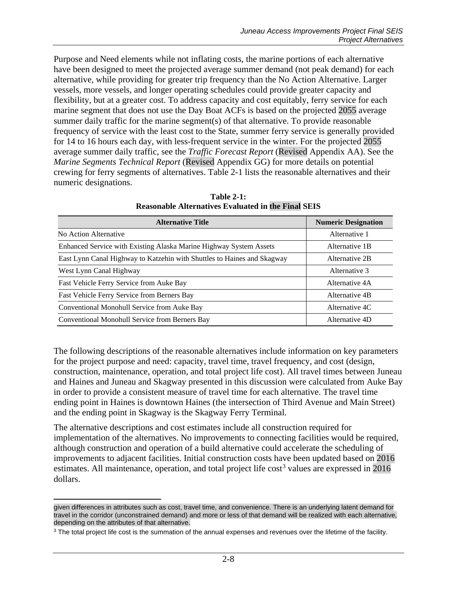Purpose and Need elements while not inflating costs, the marine portions of each alternative have been designed to meet the projected average summer demand (not peak demand) for each alternative, while providing for greater trip frequency than the No Action Alternative. Larger vessels, more vessels, and longer operating schedules could provide greater capacity and flexibility, but at a greater cost. To address capacity and cost equitably, ferry service for each marine segment that does not use the Day Boat ACFs is based on the projected 2055 average summer daily traffic for the marine segment(s) of that alternative. To provide reasonable frequency of service with the least cost to the State, summer ferry service is generally provided for 14 to 16 hours each day, with less-frequent service in the winter. For the projected 2055 average summer daily traffic, see the *Traffic Forecast Report* (Revised Appendix AA). See the *Marine Segments Technical Report* (Revised Appendix GG) for more details on potential crewing for ferry segments of alternatives. [Table 2-1](#page-7-0) lists the reasonable alternatives and their numeric designations.

<span id="page-7-0"></span>

| <b>Alternative Title</b>                                                | <b>Numeric Designation</b> |
|-------------------------------------------------------------------------|----------------------------|
| No Action Alternative                                                   | Alternative 1              |
| Enhanced Service with Existing Alaska Marine Highway System Assets      | Alternative 1B             |
| East Lynn Canal Highway to Katzehin with Shuttles to Haines and Skagway | Alternative 2B             |
| West Lynn Canal Highway                                                 | Alternative 3              |
| Fast Vehicle Ferry Service from Auke Bay                                | Alternative 4A             |
| Fast Vehicle Ferry Service from Berners Bay                             | Alternative 4B             |
| Conventional Monohull Service from Auke Bay                             | Alternative 4C             |
| Conventional Monohull Service from Berners Bay                          | Alternative 4D             |

**Table 2-1: Reasonable Alternatives Evaluated in the Final SEIS**

The following descriptions of the reasonable alternatives include information on key parameters for the project purpose and need: capacity, travel time, travel frequency, and cost (design, construction, maintenance, operation, and total project life cost). All travel times between Juneau and Haines and Juneau and Skagway presented in this discussion were calculated from Auke Bay in order to provide a consistent measure of travel time for each alternative. The travel time ending point in Haines is downtown Haines (the intersection of Third Avenue and Main Street) and the ending point in Skagway is the Skagway Ferry Terminal.

The alternative descriptions and cost estimates include all construction required for implementation of the alternatives. No improvements to connecting facilities would be required, although construction and operation of a build alternative could accelerate the scheduling of improvements to adjacent facilities. Initial construction costs have been updated based on 2016 estimates. All maintenance, operation, and total project life  $\cos t^3$  $\cos t^3$  values are expressed in 2016 dollars.

 $\overline{a}$ given differences in attributes such as cost, travel time, and convenience. There is an underlying latent demand for travel in the corridor (unconstrained demand) and more or less of that demand will be realized with each alternative, depending on the attributes of that alternative.

<span id="page-7-1"></span><sup>&</sup>lt;sup>3</sup> The total project life cost is the summation of the annual expenses and revenues over the lifetime of the facility.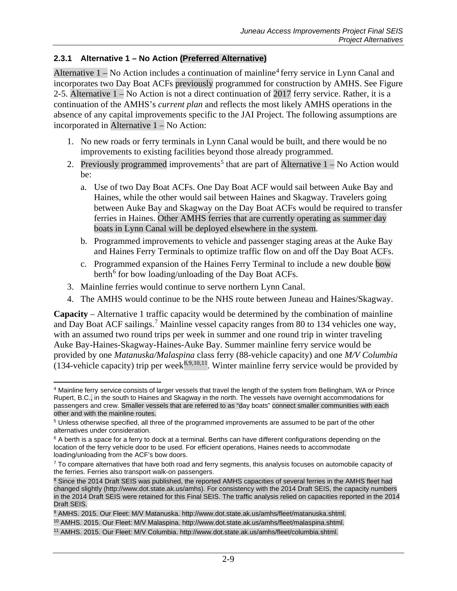### **2.3.1 Alternative 1 – No Action (Preferred Alternative)**

Alternative  $1 - No$  Action includes a continuation of mainline<sup>[4](#page-8-0)</sup> ferry service in Lynn Canal and incorporates two Day Boat ACFs previously programmed for construction by AMHS. See Figure 2-5. Alternative 1 – No Action is not a direct continuation of 2017 ferry service. Rather, it is a continuation of the AMHS's *current plan* and reflects the most likely AMHS operations in the absence of any capital improvements specific to the JAI Project. The following assumptions are incorporated in Alternative 1 – No Action:

- 1. No new roads or ferry terminals in Lynn Canal would be built, and there would be no improvements to existing facilities beyond those already programmed.
- 2. Previously programmed improvements<sup>[5](#page-8-1)</sup> that are part of Alternative  $1 No$  Action would be:
	- a. Use of two Day Boat ACFs. One Day Boat ACF would sail between Auke Bay and Haines, while the other would sail between Haines and Skagway. Travelers going between Auke Bay and Skagway on the Day Boat ACFs would be required to transfer ferries in Haines. Other AMHS ferries that are currently operating as summer day boats in Lynn Canal will be deployed elsewhere in the system.
	- b. Programmed improvements to vehicle and passenger staging areas at the Auke Bay and Haines Ferry Terminals to optimize traffic flow on and off the Day Boat ACFs.
	- c. Programmed expansion of the Haines Ferry Terminal to include a new double bow berth<sup>[6](#page-8-2)</sup> for bow loading/unloading of the Day Boat ACFs.
- 3. Mainline ferries would continue to serve northern Lynn Canal.
- 4. The AMHS would continue to be the NHS route between Juneau and Haines/Skagway.

**Capacity** – Alternative 1 traffic capacity would be determined by the combination of mainline and Day Boat ACF sailings.<sup>[7](#page-8-3)</sup> Mainline vessel capacity ranges from 80 to 134 vehicles one way, with an assumed two round trips per week in summer and one round trip in winter traveling Auke Bay-Haines-Skagway-Haines-Auke Bay. Summer mainline ferry service would be provided by one *Matanuska/Malaspina* class ferry (88-vehicle capacity) and one *M/V Columbia* (134-vehicle capacity) trip per week<sup>[8](#page-8-4),[9](#page-8-5),[10,](#page-8-6)[11](#page-8-7)</sup>. Winter mainline ferry service would be provided by

<span id="page-8-0"></span> $\overline{a}$ <sup>4</sup> Mainline ferry service consists of larger vessels that travel the length of the system from Bellingham, WA or Prince Rupert, B.C., in the south to Haines and Skagway in the north. The vessels have overnight accommodations for passengers and crew. Smaller vessels that are referred to as "day boats" connect smaller communities with each other and with the mainline routes.

<span id="page-8-1"></span><sup>5</sup> Unless otherwise specified, all three of the programmed improvements are assumed to be part of the other alternatives under consideration.

<span id="page-8-2"></span> $6$  A berth is a space for a ferry to dock at a terminal. Berths can have different configurations depending on the location of the ferry vehicle door to be used. For efficient operations, Haines needs to accommodate loading/unloading from the ACF's bow doors.

<span id="page-8-3"></span><sup>&</sup>lt;sup>7</sup> To compare alternatives that have both road and ferry segments, this analysis focuses on automobile capacity of the ferries. Ferries also transport walk-on passengers.

<span id="page-8-4"></span><sup>&</sup>lt;sup>8</sup> Since the 2014 Draft SEIS was published, the reported AMHS capacities of several ferries in the AMHS fleet had changed slightly (http://www.dot.state.ak.us/amhs). For consistency with the 2014 Draft SEIS, the capacity numbers in the 2014 Draft SEIS were retained for this Final SEIS. The traffic analysis relied on capacities reported in the 2014 Draft SEIS.

<span id="page-8-5"></span><sup>9</sup> AMHS. 2015. Our Fleet: M/V Matanuska. http://www.dot.state.ak.us/amhs/fleet/matanuska.shtml.

<span id="page-8-6"></span><sup>10</sup> AMHS. 2015. Our Fleet: M/V Malaspina. http://www.dot.state.ak.us/amhs/fleet/malaspina.shtml.

<span id="page-8-7"></span><sup>11</sup> AMHS. 2015. Our Fleet: M/V Columbia. http://www.dot.state.ak.us/amhs/fleet/columbia.shtml.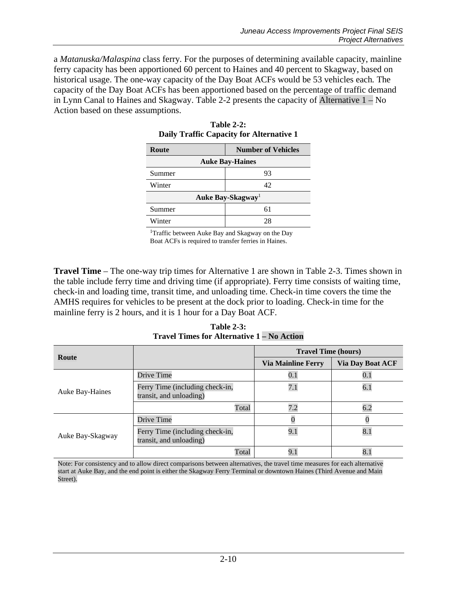<span id="page-9-0"></span>a *Matanuska/Malaspina* class ferry*.* For the purposes of determining available capacity, mainline ferry capacity has been apportioned 60 percent to Haines and 40 percent to Skagway, based on historical usage. The one-way capacity of the Day Boat ACFs would be 53 vehicles each*.* The capacity of the Day Boat ACFs has been apportioned based on the percentage of traffic demand in Lynn Canal to Haines and Skagway. [Table 2-2](#page-9-0) presents the capacity of Alternative 1 – No Action based on these assumptions.

| Route                         | <b>Number of Vehicles</b> |  |
|-------------------------------|---------------------------|--|
| <b>Auke Bay-Haines</b>        |                           |  |
| Summer                        | 93                        |  |
| Winter                        | 42                        |  |
| Auke Bay-Skagway <sup>1</sup> |                           |  |
| Summer                        | 61                        |  |
| Winter                        | 28                        |  |

| <b>Table 2-2:</b>                        |
|------------------------------------------|
| Daily Traffic Capacity for Alternative 1 |

<sup>1</sup>Traffic between Auke Bay and Skagway on the Day Boat ACFs is required to transfer ferries in Haines.

**Travel Time** – The one-way trip times for Alternative 1 are shown in [Table 2-3.](#page-9-1) Times shown in the table include ferry time and driving time (if appropriate). Ferry time consists of waiting time, check-in and loading time, transit time, and unloading time. Check-in time covers the time the AMHS requires for vehicles to be present at the dock prior to loading. Check-in time for the mainline ferry is 2 hours, and it is 1 hour for a Day Boat ACF.

**Table 2-3: Travel Times for Alternative 1 – No Action**

<span id="page-9-1"></span>

| Route                  |                                                            | <b>Travel Time (hours)</b> |                         |
|------------------------|------------------------------------------------------------|----------------------------|-------------------------|
|                        |                                                            | <b>Via Mainline Ferry</b>  | <b>Via Day Boat ACF</b> |
|                        | Drive Time                                                 | 0.1                        | 0.1                     |
| <b>Auke Bay-Haines</b> | Ferry Time (including check-in,<br>transit, and unloading) | 7.1                        | 6.1                     |
|                        | Total                                                      | 7.2                        | 6.2                     |
|                        | Drive Time                                                 |                            |                         |
| Auke Bay-Skagway       | Ferry Time (including check-in,<br>transit, and unloading) | 9.1                        | 8.1                     |
|                        | Total                                                      | 9.1                        | 8.                      |

Note: For consistency and to allow direct comparisons between alternatives, the travel time measures for each alternative start at Auke Bay, and the end point is either the Skagway Ferry Terminal or downtown Haines (Third Avenue and Main Street).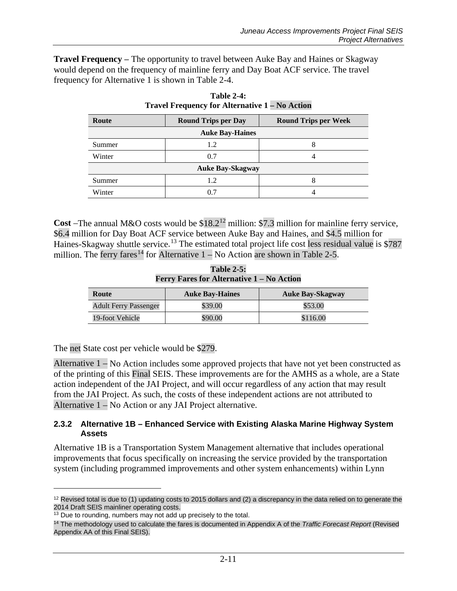<span id="page-10-1"></span>**Travel Frequency** – The opportunity to travel between Auke Bay and Haines or Skagway would depend on the frequency of mainline ferry and Day Boat ACF service. The travel frequency for Alternative 1 is shown in [Table 2-4.](#page-10-1)

| Route                   | <b>Round Trips per Day</b> | <b>Round Trips per Week</b> |
|-------------------------|----------------------------|-----------------------------|
| <b>Auke Bay-Haines</b>  |                            |                             |
| Summer                  | 1.2                        |                             |
| Winter                  | 0.7                        |                             |
| <b>Auke Bay-Skagway</b> |                            |                             |
| Summer                  | 1.2                        | ο                           |
| Winter                  | 0.7                        |                             |

| <b>Table 2-4:</b>                                     |  |
|-------------------------------------------------------|--|
| <b>Travel Frequency for Alternative 1 – No Action</b> |  |

**Cost** –The annual M&O costs would be  $$18.2^{12}$  $$18.2^{12}$  $$18.2^{12}$  million: \$7.3 million for mainline ferry service, \$6.4 million for Day Boat ACF service between Auke Bay and Haines, and \$4.5 million for Haines-Skagway shuttle service.<sup>[13](#page-10-4)</sup> The estimated total project life cost less residual value is \$787 million. The ferry fares<sup>[14](#page-10-5)</sup> for Alternative  $1 - No$  Action are shown in [Table 2-5.](#page-10-2)

**Table 2-5: Ferry Fares for Alternative 1 – No Action**

<span id="page-10-2"></span>

| Route                        | <b>Auke Bay-Haines</b> | <b>Auke Bay-Skagway</b> |
|------------------------------|------------------------|-------------------------|
| <b>Adult Ferry Passenger</b> | \$39.00                | \$53.00                 |
| 19-foot Vehicle              | \$90.00                | \$116.00                |

The net State cost per vehicle would be \$279.

Alternative 1 – No Action includes some approved projects that have not yet been constructed as of the printing of this Final SEIS. These improvements are for the AMHS as a whole, are a State action independent of the JAI Project, and will occur regardless of any action that may result from the JAI Project. As such, the costs of these independent actions are not attributed to Alternative 1 – No Action or any JAI Project alternative.

#### <span id="page-10-0"></span>**2.3.2 Alternative 1B – Enhanced Service with Existing Alaska Marine Highway System Assets**

Alternative 1B is a Transportation System Management alternative that includes operational improvements that focus specifically on increasing the service provided by the transportation system (including programmed improvements and other system enhancements) within Lynn

 $\overline{a}$ 

<span id="page-10-3"></span> $12$  Revised total is due to (1) updating costs to 2015 dollars and (2) a discrepancy in the data relied on to generate the 2014 Draft SEIS mainliner operating costs.

<span id="page-10-4"></span> $13$  Due to rounding, numbers may not add up precisely to the total.

<span id="page-10-5"></span><sup>14</sup> The methodology used to calculate the fares is documented in Appendix A of the *Traffic Forecast Report* (Revised Appendix AA of this Final SEIS).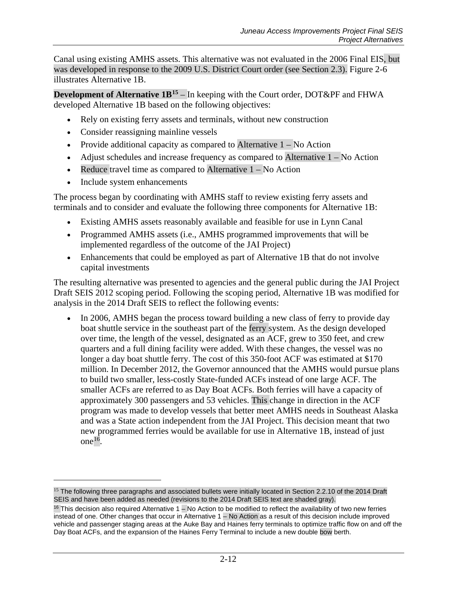Canal using existing AMHS assets. This alternative was not evaluated in the 2006 Final EIS, but was developed in response to the 2009 U.S. District Court order (see Section [2.3\)](#page-6-1). Figure 2-6 illustrates Alternative 1B.

**Development of Alternative 1B<sup>[15](#page-11-0)</sup>** – In keeping with the Court order, DOT&PF and FHWA developed Alternative 1B based on the following objectives:

- Rely on existing ferry assets and terminals, without new construction
- Consider reassigning mainline vessels
- Provide additional capacity as compared to Alternative  $1 No$  Action
- Adjust schedules and increase frequency as compared to Alternative  $1 No$  Action
- Reduce travel time as compared to Alternative  $1 No$  Action
- Include system enhancements

 $\overline{a}$ 

The process began by coordinating with AMHS staff to review existing ferry assets and terminals and to consider and evaluate the following three components for Alternative 1B:

- Existing AMHS assets reasonably available and feasible for use in Lynn Canal
- Programmed AMHS assets (i.e., AMHS programmed improvements that will be implemented regardless of the outcome of the JAI Project)
- Enhancements that could be employed as part of Alternative 1B that do not involve capital investments

The resulting alternative was presented to agencies and the general public during the JAI Project Draft SEIS 2012 scoping period. Following the scoping period, Alternative 1B was modified for analysis in the 2014 Draft SEIS to reflect the following events:

• In 2006, AMHS began the process toward building a new class of ferry to provide day boat shuttle service in the southeast part of the ferry system. As the design developed over time, the length of the vessel, designated as an ACF, grew to 350 feet, and crew quarters and a full dining facility were added. With these changes, the vessel was no longer a day boat shuttle ferry. The cost of this 350-foot ACF was estimated at \$170 million. In December 2012, the Governor announced that the AMHS would pursue plans to build two smaller, less-costly State-funded ACFs instead of one large ACF. The smaller ACFs are referred to as Day Boat ACFs. Both ferries will have a capacity of approximately 300 passengers and 53 vehicles. This change in direction in the ACF program was made to develop vessels that better meet AMHS needs in Southeast Alaska and was a State action independent from the JAI Project. This decision meant that two new programmed ferries would be available for use in Alternative 1B, instead of just one $^{16}$ .

<span id="page-11-0"></span><sup>&</sup>lt;sup>15</sup> The following three paragraphs and associated bullets were initially located in Section 2.2.10 of the 2014 Draft SEIS and have been added as needed (revisions to the 2014 Draft SEIS text are shaded gray).

<span id="page-11-1"></span> $16$  This decision also required Alternative  $1 -$  No Action to be modified to reflect the availability of two new ferries instead of one. Other changes that occur in Alternative 1 – No Action as a result of this decision include improved vehicle and passenger staging areas at the Auke Bay and Haines ferry terminals to optimize traffic flow on and off the Day Boat ACFs, and the expansion of the Haines Ferry Terminal to include a new double bow berth.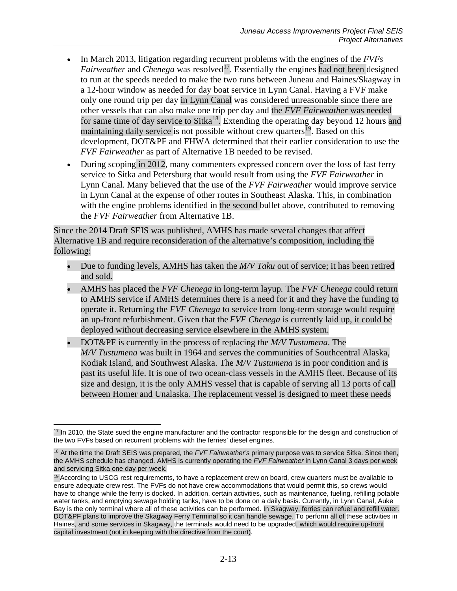- In March 2013, litigation regarding recurrent problems with the engines of the *FVFs Fairweather* and *Chenega* was resolved<sup>17</sup>. Essentially the engines had not been designed to run at the speeds needed to make the two runs between Juneau and Haines/Skagway in a 12-hour window as needed for day boat service in Lynn Canal. Having a FVF make only one round trip per day in Lynn Canal was considered unreasonable since there are other vessels that can also make one trip per day and the *FVF Fairweather* was needed for same time of day service to Sitka<sup>18</sup>. Extending the operating day beyond 12 hours and maintaining daily service is not possible without crew quarters<sup>[19](#page-12-2)</sup>. Based on this development, DOT&PF and FHWA determined that their earlier consideration to use the *FVF Fairweather* as part of Alternative 1B needed to be revised.
- During scoping in 2012, many commenters expressed concern over the loss of fast ferry service to Sitka and Petersburg that would result from using the *FVF Fairweather* in Lynn Canal. Many believed that the use of the *FVF Fairweather* would improve service in Lynn Canal at the expense of other routes in Southeast Alaska. This, in combination with the engine problems identified in the second bullet above, contributed to removing the *FVF Fairweather* from Alternative 1B.

Since the 2014 Draft SEIS was published, AMHS has made several changes that affect Alternative 1B and require reconsideration of the alternative's composition, including the following:

- Due to funding levels, AMHS has taken the *M/V Taku* out of service; it has been retired and sold*.*
- AMHS has placed the *FVF Chenega* in long-term layup*.* The *FVF Chenega* could return to AMHS service if AMHS determines there is a need for it and they have the funding to operate it. Returning the *FVF Chenega* to service from long-term storage would require an up-front refurbishment. Given that the *FVF Chenega* is currently laid up, it could be deployed without decreasing service elsewhere in the AMHS system.
- DOT&PF is currently in the process of replacing the *M/V Tustumena*. The *M/V Tustumena* was built in 1964 and serves the communities of Southcentral Alaska, Kodiak Island, and Southwest Alaska. The *M/V Tustumena* is in poor condition and is past its useful life. It is one of two ocean-class vessels in the AMHS fleet. Because of its size and design, it is the only AMHS vessel that is capable of serving all 13 ports of call between Homer and Unalaska. The replacement vessel is designed to meet these needs

<span id="page-12-0"></span> $\overline{a}$ <sup>17</sup> In 2010, the State sued the engine manufacturer and the contractor responsible for the design and construction of the two FVFs based on recurrent problems with the ferries' diesel engines.

<span id="page-12-1"></span><sup>18</sup> At the time the Draft SEIS was prepared, the *FVF Fairweather's* primary purpose was to service Sitka. Since then, the AMHS schedule has changed. AMHS is currently operating the *FVF Fairweather* in Lynn Canal 3 days per week and servicing Sitka one day per week.

<span id="page-12-2"></span><sup>&</sup>lt;sup>19</sup> According to USCG rest requirements, to have a replacement crew on board, crew quarters must be available to ensure adequate crew rest. The FVFs do not have crew accommodations that would permit this, so crews would have to change while the ferry is docked. In addition, certain activities, such as maintenance, fueling, refilling potable water tanks, and emptying sewage holding tanks, have to be done on a daily basis. Currently, in Lynn Canal, Auke Bay is the only terminal where all of these activities can be performed. In Skagway, ferries can refuel and refill water. DOT&PF plans to improve the Skagway Ferry Terminal so it can handle sewage. To perform all of these activities in Haines, and some services in Skagway, the terminals would need to be upgraded, which would require up-front capital investment (not in keeping with the directive from the court).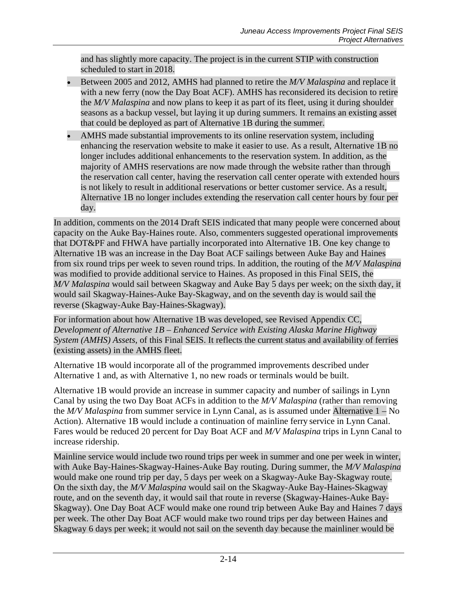and has slightly more capacity. The project is in the current STIP with construction scheduled to start in 2018.

- Between 2005 and 2012, AMHS had planned to retire the *M/V Malaspina* and replace it with a new ferry (now the Day Boat ACF). AMHS has reconsidered its decision to retire the *M/V Malaspina* and now plans to keep it as part of its fleet, using it during shoulder seasons as a backup vessel, but laying it up during summers. It remains an existing asset that could be deployed as part of Alternative 1B during the summer.
- AMHS made substantial improvements to its online reservation system, including enhancing the reservation website to make it easier to use. As a result, Alternative 1B no longer includes additional enhancements to the reservation system. In addition, as the majority of AMHS reservations are now made through the website rather than through the reservation call center, having the reservation call center operate with extended hours is not likely to result in additional reservations or better customer service. As a result, Alternative 1B no longer includes extending the reservation call center hours by four per day.

In addition, comments on the 2014 Draft SEIS indicated that many people were concerned about capacity on the Auke Bay-Haines route. Also, commenters suggested operational improvements that DOT&PF and FHWA have partially incorporated into Alternative 1B. One key change to Alternative 1B was an increase in the Day Boat ACF sailings between Auke Bay and Haines from six round trips per week to seven round trips. In addition, the routing of the *M/V Malaspina* was modified to provide additional service to Haines. As proposed in this Final SEIS, the *M/V Malaspina* would sail between Skagway and Auke Bay 5 days per week; on the sixth day, it would sail Skagway-Haines-Auke Bay-Skagway, and on the seventh day is would sail the reverse (Skagway-Auke Bay-Haines-Skagway).

For information about how Alternative 1B was developed, see Revised Appendix CC, *Development of Alternative 1B – Enhanced Service with Existing Alaska Marine Highway System (AMHS) Assets*, of this Final SEIS. It reflects the current status and availability of ferries (existing assets) in the AMHS fleet.

Alternative 1B would incorporate all of the programmed improvements described under Alternative 1 and, as with Alternative 1, no new roads or terminals would be built.

Alternative 1B would provide an increase in summer capacity and number of sailings in Lynn Canal by using the two Day Boat ACFs in addition to the *M/V Malaspina* (rather than removing the *M/V Malaspina* from summer service in Lynn Canal, as is assumed under Alternative 1 – No Action). Alternative 1B would include a continuation of mainline ferry service in Lynn Canal. Fares would be reduced 20 percent for Day Boat ACF and *M/V Malaspina* trips in Lynn Canal to increase ridership.

Mainline service would include two round trips per week in summer and one per week in winter, with Auke Bay-Haines-Skagway-Haines-Auke Bay routing. During summer, the *M/V Malaspina* would make one round trip per day, 5 days per week on a Skagway-Auke Bay-Skagway route. On the sixth day, the *M/V Malaspina* would sail on the Skagway-Auke Bay-Haines-Skagway route, and on the seventh day, it would sail that route in reverse (Skagway-Haines-Auke Bay-Skagway). One Day Boat ACF would make one round trip between Auke Bay and Haines 7 days per week. The other Day Boat ACF would make two round trips per day between Haines and Skagway 6 days per week; it would not sail on the seventh day because the mainliner would be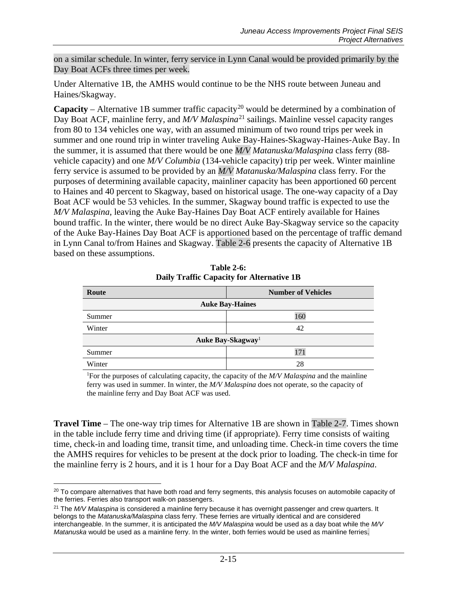on a similar schedule. In winter, ferry service in Lynn Canal would be provided primarily by the Day Boat ACFs three times per week.

Under Alternative 1B, the AMHS would continue to be the NHS route between Juneau and Haines/Skagway.

**Capacity** – Alternative 1B summer traffic capacity<sup>[20](#page-14-1)</sup> would be determined by a combination of Day Boat ACF, mainline ferry, and *M/V Malaspina*<sup>[21](#page-14-2)</sup> sailings. Mainline vessel capacity ranges from 80 to 134 vehicles one way, with an assumed minimum of two round trips per week in summer and one round trip in winter traveling Auke Bay-Haines-Skagway-Haines-Auke Bay. In the summer, it is assumed that there would be one *M/V Matanuska/Malaspina* class ferry (88 vehicle capacity) and one *M/V Columbia* (134-vehicle capacity) trip per week. Winter mainline ferry service is assumed to be provided by an *M/V Matanuska/Malaspina* class ferry*.* For the purposes of determining available capacity, mainliner capacity has been apportioned 60 percent to Haines and 40 percent to Skagway, based on historical usage. The one-way capacity of a Day Boat ACF would be 53 vehicles*.* In the summer, Skagway bound traffic is expected to use the *M/V Malaspina*, leaving the Auke Bay-Haines Day Boat ACF entirely available for Haines bound traffic. In the winter, there would be no direct Auke Bay-Skagway service so the capacity of the Auke Bay-Haines Day Boat ACF is apportioned based on the percentage of traffic demand in Lynn Canal to/from Haines and Skagway. [Table 2-6](#page-14-0) presents the capacity of Alternative 1B based on these assumptions.

<span id="page-14-0"></span>

| Route                         | <b>Number of Vehicles</b> |  |
|-------------------------------|---------------------------|--|
| <b>Auke Bay-Haines</b>        |                           |  |
| Summer                        | 160                       |  |
| Winter                        | 42                        |  |
| Auke Bay-Skagway <sup>1</sup> |                           |  |
| Summer                        | 171                       |  |
| Winter                        | 28                        |  |

**Table 2-6: Daily Traffic Capacity for Alternative 1B**

1 For the purposes of calculating capacity, the capacity of the *M/V Malaspina* and the mainline ferry was used in summer. In winter, the *M/V Malaspina* does not operate, so the capacity of the mainline ferry and Day Boat ACF was used.

**Travel Time** – The one-way trip times for Alternative 1B are shown in [Table 2-7.](#page-15-0) Times shown in the table include ferry time and driving time (if appropriate). Ferry time consists of waiting time, check-in and loading time, transit time, and unloading time. Check-in time covers the time the AMHS requires for vehicles to be present at the dock prior to loading. The check-in time for the mainline ferry is 2 hours, and it is 1 hour for a Day Boat ACF and the *M/V Malaspina*.

<span id="page-14-1"></span> $\overline{a}$  $20$  To compare alternatives that have both road and ferry segments, this analysis focuses on automobile capacity of the ferries. Ferries also transport walk-on passengers.

<span id="page-14-2"></span><sup>21</sup> The *M/V Malaspina* is considered a mainline ferry because it has overnight passenger and crew quarters. It belongs to the *Matanuska/Malaspina* class ferry. These ferries are virtually identical and are considered interchangeable. In the summer, it is anticipated the *M/V Malaspina* would be used as a day boat while the *M/V Matanuska* would be used as a mainline ferry. In the winter, both ferries would be used as mainline ferries.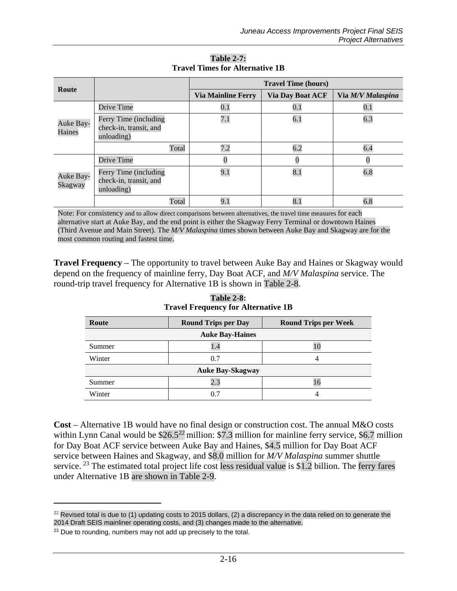<span id="page-15-0"></span>

| Route                |                                                               | <b>Travel Time (hours)</b> |                         |                   |
|----------------------|---------------------------------------------------------------|----------------------------|-------------------------|-------------------|
|                      |                                                               | <b>Via Mainline Ferry</b>  | <b>Via Day Boat ACF</b> | Via M/V Malaspina |
|                      | Drive Time                                                    | $0.1\,$                    | $0.1\,$                 | $0.1\,$           |
| Auke Bay-<br>Haines  | Ferry Time (including<br>check-in, transit, and<br>unloading) | 7.1                        | 6.1                     | 6.3               |
|                      | Total                                                         | 7.2                        | 6.2                     | 6.4               |
|                      | Drive Time                                                    |                            | $\overline{0}$          |                   |
| Auke Bay-<br>Skagway | Ferry Time (including<br>check-in, transit, and<br>unloading) | 9.1                        | 8.1                     | 6.8               |
|                      | Total                                                         | 9.1                        | 8.1                     | 6.8               |

**Table 2-7: Travel Times for Alternative 1B**

Note: For consistency and to allow direct comparisons between alternatives, the travel time measures for each alternative start at Auke Bay, and the end point is either the Skagway Ferry Terminal or downtown Haines (Third Avenue and Main Street). The *M/V Malaspina* times shown between Auke Bay and Skagway are for the most common routing and fastest time.

<span id="page-15-1"></span>**Travel Frequency** – The opportunity to travel between Auke Bay and Haines or Skagway would depend on the frequency of mainline ferry, Day Boat ACF, and *M/V Malaspina* service. The round-trip travel frequency for Alternative 1B is shown in [Table 2-8.](#page-15-1)

| Route                   | <b>Round Trips per Day</b> | <b>Round Trips per Week</b> |
|-------------------------|----------------------------|-----------------------------|
| <b>Auke Bay-Haines</b>  |                            |                             |
| Summer                  | 1.4                        |                             |
| Winter                  | 0.7                        |                             |
| <b>Auke Bay-Skagway</b> |                            |                             |
| Summer                  | 2.3                        | 16                          |
| Winter                  |                            |                             |

**Table 2-8: Travel Frequency for Alternative 1B**

**Cost** – Alternative 1B would have no final design or construction cost. The annual M&O costs within Lynn Canal would be  $$26.5^{22}$  $$26.5^{22}$  $$26.5^{22}$  million: \$7.3 million for mainline ferry service, \$6.7 million for Day Boat ACF service between Auke Bay and Haines, \$4.5 million for Day Boat ACF service between Haines and Skagway, and \$8.0 million for *M/V Malaspina* summer shuttle service. <sup>[23](#page-15-3)</sup> The estimated total project life cost less residual value is \$1.2 billion. The ferry fares under Alternative 1B are shown in [Table 2-9.](#page-16-0)

 $\overline{a}$ 

<span id="page-15-2"></span> $^{22}$  Revised total is due to (1) updating costs to 2015 dollars, (2) a discrepancy in the data relied on to generate the 2014 Draft SEIS mainliner operating costs, and (3) changes made to the alternative.

<span id="page-15-3"></span><sup>&</sup>lt;sup>23</sup> Due to rounding, numbers may not add up precisely to the total.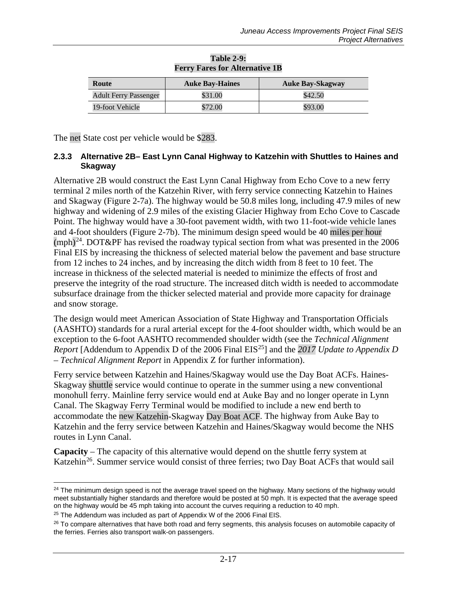<span id="page-16-0"></span>

| Route                        | <b>Auke Bay-Haines</b> | <b>Auke Bay-Skagway</b> |
|------------------------------|------------------------|-------------------------|
| <b>Adult Ferry Passenger</b> | \$31.00                | \$42.50                 |
| 19-foot Vehicle              | \$72.00                | \$93.00                 |

#### **Table 2-9: Ferry Fares for Alternative 1B**

The net State cost per vehicle would be \$283.

#### **2.3.3 Alternative 2B– East Lynn Canal Highway to Katzehin with Shuttles to Haines and Skagway**

Alternative 2B would construct the East Lynn Canal Highway from Echo Cove to a new ferry terminal 2 miles north of the Katzehin River, with ferry service connecting Katzehin to Haines and Skagway (Figure 2-7a). The highway would be 50.8 miles long, including 47.9 miles of new highway and widening of 2.9 miles of the existing Glacier Highway from Echo Cove to Cascade Point. The highway would have a 30-foot pavement width, with two 11-foot-wide vehicle lanes and 4-foot shoulders (Figure 2-7b). The minimum design speed would be 40 miles per hour  $(mph)^{24}$ . DOT&PF has revised the roadway typical section from what was presented in the 2006 Final EIS by increasing the thickness of selected material below the pavement and base structure from 12 inches to 24 inches, and by increasing the ditch width from 8 feet to 10 feet. The increase in thickness of the selected material is needed to minimize the effects of frost and preserve the integrity of the road structure. The increased ditch width is needed to accommodate subsurface drainage from the thicker selected material and provide more capacity for drainage and snow storage.

The design would meet American Association of State Highway and Transportation Officials (AASHTO) standards for a rural arterial except for the 4-foot shoulder width, which would be an exception to the 6-foot AASHTO recommended shoulder width (see the *Technical Alignment Report* [Addendum to Appendix D of the 2006 Final EIS<sup>[25](#page-16-2)</sup>] and the *2017 Update to Appendix D – Technical Alignment Report* in Appendix Z for further information).

Ferry service between Katzehin and Haines/Skagway would use the Day Boat ACFs. Haines-Skagway shuttle service would continue to operate in the summer using a new conventional monohull ferry. Mainline ferry service would end at Auke Bay and no longer operate in Lynn Canal. The Skagway Ferry Terminal would be modified to include a new end berth to accommodate the new Katzehin-Skagway Day Boat ACF. The highway from Auke Bay to Katzehin and the ferry service between Katzehin and Haines/Skagway would become the NHS routes in Lynn Canal.

**Capacity** – The capacity of this alternative would depend on the shuttle ferry system at Katzehin<sup>26</sup>. Summer service would consist of three ferries; two Day Boat ACFs that would sail

<span id="page-16-1"></span> $\overline{a}$ <sup>24</sup> The minimum design speed is not the average travel speed on the highway. Many sections of the highway would meet substantially higher standards and therefore would be posted at 50 mph. It is expected that the average speed on the highway would be 45 mph taking into account the curves requiring a reduction to 40 mph.

<span id="page-16-2"></span> $25$  The Addendum was included as part of Appendix W of the 2006 Final EIS.

<span id="page-16-3"></span> $26$  To compare alternatives that have both road and ferry segments, this analysis focuses on automobile capacity of the ferries. Ferries also transport walk-on passengers.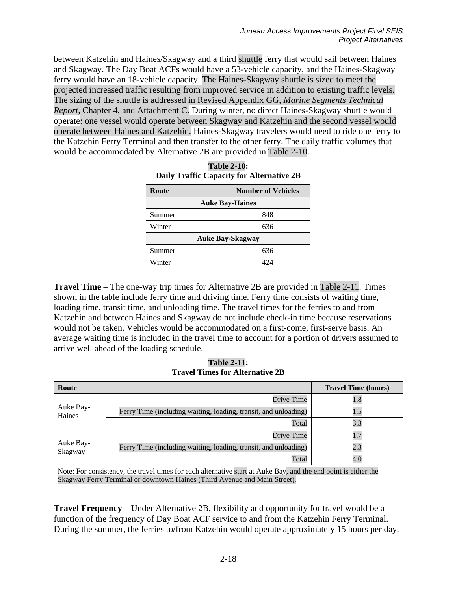between Katzehin and Haines/Skagway and a third shuttle ferry that would sail between Haines and Skagway. The Day Boat ACFs would have a 53-vehicle capacity, and the Haines-Skagway ferry would have an 18-vehicle capacity. The Haines-Skagway shuttle is sized to meet the projected increased traffic resulting from improved service in addition to existing traffic levels. The sizing of the shuttle is addressed in Revised Appendix GG, *Marine Segments Technical Report,* Chapter 4, and Attachment C. During winter, no direct Haines-Skagway shuttle would operate: one vessel would operate between Skagway and Katzehin and the second vessel would operate between Haines and Katzehin. Haines-Skagway travelers would need to ride one ferry to the Katzehin Ferry Terminal and then transfer to the other ferry. The daily traffic volumes that would be accommodated by Alternative 2B are provided in [Table 2-10.](#page-17-0)

<span id="page-17-0"></span>

| Route                   | <b>Number of Vehicles</b> |  |
|-------------------------|---------------------------|--|
| <b>Auke Bay-Haines</b>  |                           |  |
| Summer                  | 848                       |  |
| Winter                  | 636                       |  |
| <b>Auke Bay-Skagway</b> |                           |  |
| Summer                  | 636                       |  |
| Winter                  | 424                       |  |

**Table 2-10: Daily Traffic Capacity for Alternative 2B**

**Travel Time** – The one-way trip times for Alternative 2B are provided in [Table 2-11.](#page-17-1) Times shown in the table include ferry time and driving time. Ferry time consists of waiting time, loading time, transit time, and unloading time. The travel times for the ferries to and from Katzehin and between Haines and Skagway do not include check-in time because reservations would not be taken. Vehicles would be accommodated on a first-come, first-serve basis. An average waiting time is included in the travel time to account for a portion of drivers assumed to arrive well ahead of the loading schedule.

**Table 2-11: Travel Times for Alternative 2B**

<span id="page-17-1"></span>

| Route                |                                                                 | <b>Travel Time (hours)</b> |
|----------------------|-----------------------------------------------------------------|----------------------------|
|                      | Drive Time                                                      | 1.8                        |
| Auke Bay-<br>Haines  | Ferry Time (including waiting, loading, transit, and unloading) | 1.5                        |
|                      | Total                                                           | 3.3                        |
| Auke Bay-<br>Skagway | Drive Time                                                      | 1.7                        |
|                      | Ferry Time (including waiting, loading, transit, and unloading) | 2.3                        |
|                      | Total                                                           | 4.0                        |

Note: For consistency, the travel times for each alternative start at Auke Bay, and the end point is either the Skagway Ferry Terminal or downtown Haines (Third Avenue and Main Street).

**Travel Frequency** – Under Alternative 2B, flexibility and opportunity for travel would be a function of the frequency of Day Boat ACF service to and from the Katzehin Ferry Terminal. During the summer, the ferries to/from Katzehin would operate approximately 15 hours per day.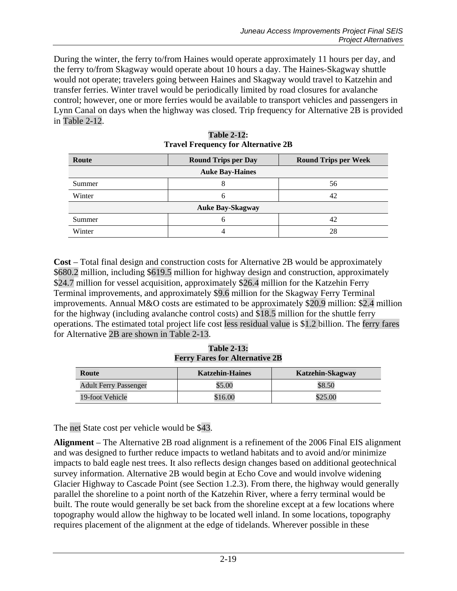During the winter, the ferry to/from Haines would operate approximately 11 hours per day, and the ferry to/from Skagway would operate about 10 hours a day. The Haines-Skagway shuttle would not operate; travelers going between Haines and Skagway would travel to Katzehin and transfer ferries. Winter travel would be periodically limited by road closures for avalanche control; however, one or more ferries would be available to transport vehicles and passengers in Lynn Canal on days when the highway was closed. Trip frequency for Alternative 2B is provided in [Table 2-12.](#page-18-0)

<span id="page-18-0"></span>

| Route                   | <b>Round Trips per Day</b> | <b>Round Trips per Week</b> |  |
|-------------------------|----------------------------|-----------------------------|--|
| <b>Auke Bay-Haines</b>  |                            |                             |  |
| Summer                  | Ω                          | 56                          |  |
| Winter                  | 6                          | 42                          |  |
| <b>Auke Bay-Skagway</b> |                            |                             |  |
| Summer                  | 6                          | 42                          |  |
| Winter                  |                            | 28                          |  |

| <b>Table 2-12:</b>                         |
|--------------------------------------------|
| <b>Travel Frequency for Alternative 2B</b> |

**Cost** – Total final design and construction costs for Alternative 2B would be approximately \$680.2 million, including \$619.5 million for highway design and construction, approximately \$24.7 million for vessel acquisition, approximately \$26.4 million for the Katzehin Ferry Terminal improvements, and approximately \$9.6 million for the Skagway Ferry Terminal improvements. Annual M&O costs are estimated to be approximately \$20.9 million: \$2.4 million for the highway (including avalanche control costs) and \$18.5 million for the shuttle ferry operations. The estimated total project life cost less residual value is \$1.2 billion. The ferry fares for Alternative 2B are shown in [Table 2-13.](#page-18-1)

**Table 2-13: Ferry Fares for Alternative 2B**

<span id="page-18-1"></span>

| Route                        | <b>Katzehin-Haines</b> | <b>Katzehin-Skagway</b> |
|------------------------------|------------------------|-------------------------|
| <b>Adult Ferry Passenger</b> | \$5.00                 | \$8.50                  |
| 19-foot Vehicle              | \$16.00                | \$25.00                 |

The net State cost per vehicle would be \$43.

**Alignment** – The Alternative 2B road alignment is a refinement of the 2006 Final EIS alignment and was designed to further reduce impacts to wetland habitats and to avoid and/or minimize impacts to bald eagle nest trees. It also reflects design changes based on additional geotechnical survey information. Alternative 2B would begin at Echo Cove and would involve widening Glacier Highway to Cascade Point (see Section 1.2.3). From there, the highway would generally parallel the shoreline to a point north of the Katzehin River, where a ferry terminal would be built. The route would generally be set back from the shoreline except at a few locations where topography would allow the highway to be located well inland. In some locations, topography requires placement of the alignment at the edge of tidelands. Wherever possible in these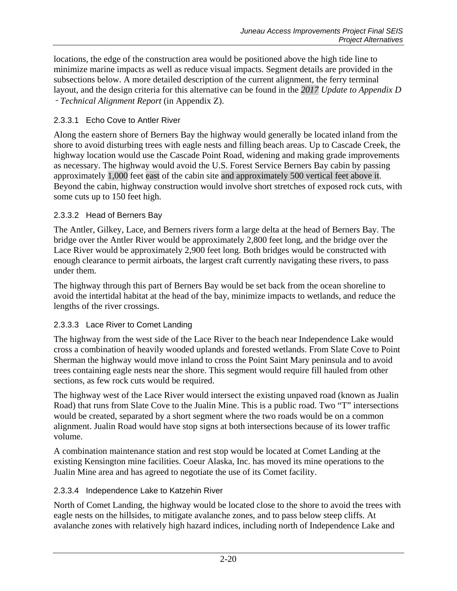locations, the edge of the construction area would be positioned above the high tide line to minimize marine impacts as well as reduce visual impacts. Segment details are provided in the subsections below. A more detailed description of the current alignment, the ferry terminal layout, and the design criteria for this alternative can be found in the *2017 Update to Appendix D*  – *Technical Alignment Report* (in Appendix Z).

### 2.3.3.1 Echo Cove to Antler River

Along the eastern shore of Berners Bay the highway would generally be located inland from the shore to avoid disturbing trees with eagle nests and filling beach areas. Up to Cascade Creek, the highway location would use the Cascade Point Road, widening and making grade improvements as necessary. The highway would avoid the U.S. Forest Service Berners Bay cabin by passing approximately 1,000 feet east of the cabin site and approximately 500 vertical feet above it. Beyond the cabin, highway construction would involve short stretches of exposed rock cuts, with some cuts up to 150 feet high.

### 2.3.3.2 Head of Berners Bay

The Antler, Gilkey, Lace, and Berners rivers form a large delta at the head of Berners Bay. The bridge over the Antler River would be approximately 2,800 feet long, and the bridge over the Lace River would be approximately 2,900 feet long. Both bridges would be constructed with enough clearance to permit airboats, the largest craft currently navigating these rivers, to pass under them.

The highway through this part of Berners Bay would be set back from the ocean shoreline to avoid the intertidal habitat at the head of the bay, minimize impacts to wetlands, and reduce the lengths of the river crossings.

# 2.3.3.3 Lace River to Comet Landing

The highway from the west side of the Lace River to the beach near Independence Lake would cross a combination of heavily wooded uplands and forested wetlands. From Slate Cove to Point Sherman the highway would move inland to cross the Point Saint Mary peninsula and to avoid trees containing eagle nests near the shore. This segment would require fill hauled from other sections, as few rock cuts would be required.

The highway west of the Lace River would intersect the existing unpaved road (known as Jualin Road) that runs from Slate Cove to the Jualin Mine. This is a public road. Two "T" intersections would be created, separated by a short segment where the two roads would be on a common alignment. Jualin Road would have stop signs at both intersections because of its lower traffic volume.

A combination maintenance station and rest stop would be located at Comet Landing at the existing Kensington mine facilities. Coeur Alaska, Inc. has moved its mine operations to the Jualin Mine area and has agreed to negotiate the use of its Comet facility.

#### 2.3.3.4 Independence Lake to Katzehin River

North of Comet Landing, the highway would be located close to the shore to avoid the trees with eagle nests on the hillsides, to mitigate avalanche zones, and to pass below steep cliffs. At avalanche zones with relatively high hazard indices, including north of Independence Lake and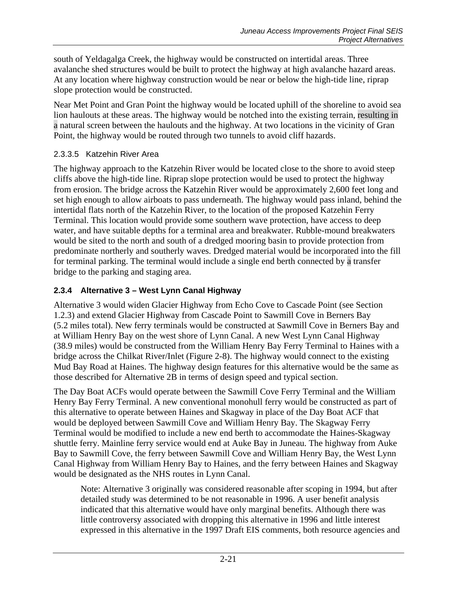south of Yeldagalga Creek, the highway would be constructed on intertidal areas. Three avalanche shed structures would be built to protect the highway at high avalanche hazard areas. At any location where highway construction would be near or below the high-tide line, riprap slope protection would be constructed.

Near Met Point and Gran Point the highway would be located uphill of the shoreline to avoid sea lion haulouts at these areas. The highway would be notched into the existing terrain, resulting in a natural screen between the haulouts and the highway. At two locations in the vicinity of Gran Point, the highway would be routed through two tunnels to avoid cliff hazards.

# 2.3.3.5 Katzehin River Area

The highway approach to the Katzehin River would be located close to the shore to avoid steep cliffs above the high-tide line. Riprap slope protection would be used to protect the highway from erosion. The bridge across the Katzehin River would be approximately 2,600 feet long and set high enough to allow airboats to pass underneath. The highway would pass inland, behind the intertidal flats north of the Katzehin River, to the location of the proposed Katzehin Ferry Terminal. This location would provide some southern wave protection, have access to deep water, and have suitable depths for a terminal area and breakwater. Rubble-mound breakwaters would be sited to the north and south of a dredged mooring basin to provide protection from predominate northerly and southerly waves. Dredged material would be incorporated into the fill for terminal parking. The terminal would include a single end berth connected by a transfer bridge to the parking and staging area.

# **2.3.4 Alternative 3 – West Lynn Canal Highway**

Alternative 3 would widen Glacier Highway from Echo Cove to Cascade Point (see Section 1.2.3) and extend Glacier Highway from Cascade Point to Sawmill Cove in Berners Bay (5.2 miles total). New ferry terminals would be constructed at Sawmill Cove in Berners Bay and at William Henry Bay on the west shore of Lynn Canal. A new West Lynn Canal Highway (38.9 miles) would be constructed from the William Henry Bay Ferry Terminal to Haines with a bridge across the Chilkat River/Inlet (Figure 2-8). The highway would connect to the existing Mud Bay Road at Haines. The highway design features for this alternative would be the same as those described for Alternative 2B in terms of design speed and typical section.

The Day Boat ACFs would operate between the Sawmill Cove Ferry Terminal and the William Henry Bay Ferry Terminal. A new conventional monohull ferry would be constructed as part of this alternative to operate between Haines and Skagway in place of the Day Boat ACF that would be deployed between Sawmill Cove and William Henry Bay. The Skagway Ferry Terminal would be modified to include a new end berth to accommodate the Haines-Skagway shuttle ferry. Mainline ferry service would end at Auke Bay in Juneau. The highway from Auke Bay to Sawmill Cove, the ferry between Sawmill Cove and William Henry Bay, the West Lynn Canal Highway from William Henry Bay to Haines, and the ferry between Haines and Skagway would be designated as the NHS routes in Lynn Canal.

Note: Alternative 3 originally was considered reasonable after scoping in 1994, but after detailed study was determined to be not reasonable in 1996. A user benefit analysis indicated that this alternative would have only marginal benefits. Although there was little controversy associated with dropping this alternative in 1996 and little interest expressed in this alternative in the 1997 Draft EIS comments, both resource agencies and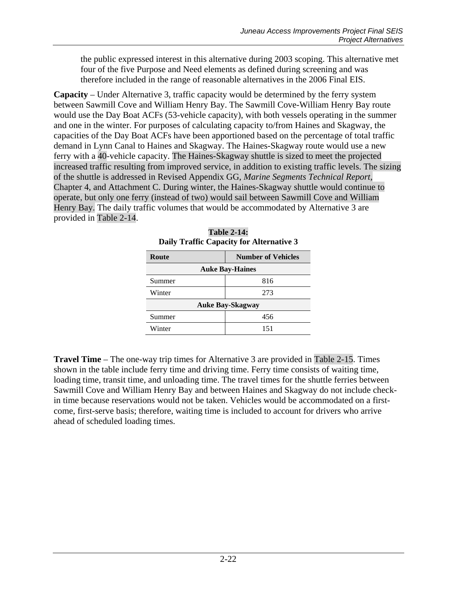the public expressed interest in this alternative during 2003 scoping. This alternative met four of the five Purpose and Need elements as defined during screening and was therefore included in the range of reasonable alternatives in the 2006 Final EIS.

**Capacity** – Under Alternative 3, traffic capacity would be determined by the ferry system between Sawmill Cove and William Henry Bay. The Sawmill Cove-William Henry Bay route would use the Day Boat ACFs (53-vehicle capacity), with both vessels operating in the summer and one in the winter. For purposes of calculating capacity to/from Haines and Skagway, the capacities of the Day Boat ACFs have been apportioned based on the percentage of total traffic demand in Lynn Canal to Haines and Skagway. The Haines-Skagway route would use a new ferry with a 40-vehicle capacity. The Haines-Skagway shuttle is sized to meet the projected increased traffic resulting from improved service, in addition to existing traffic levels. The sizing of the shuttle is addressed in Revised Appendix GG, *Marine Segments Technical Report,* Chapter 4, and Attachment C. During winter, the Haines-Skagway shuttle would continue to operate, but only one ferry (instead of two) would sail between Sawmill Cove and William Henry Bay. The daily traffic volumes that would be accommodated by Alternative 3 are provided in [Table 2-14.](#page-21-0)

<span id="page-21-0"></span>

| Route                   | <b>Number of Vehicles</b> |  |
|-------------------------|---------------------------|--|
| <b>Auke Bay-Haines</b>  |                           |  |
| Summer                  | 816                       |  |
| Winter                  | 273                       |  |
| <b>Auke Bay-Skagway</b> |                           |  |
| Summer                  | 456                       |  |
| Winter                  | 151                       |  |
|                         |                           |  |

| <b>Table 2-14:</b>                       |
|------------------------------------------|
| Daily Traffic Capacity for Alternative 3 |

**Travel Time** – The one-way trip times for Alternative 3 are provided in [Table 2-15.](#page-22-0) Times shown in the table include ferry time and driving time. Ferry time consists of waiting time, loading time, transit time, and unloading time. The travel times for the shuttle ferries between Sawmill Cove and William Henry Bay and between Haines and Skagway do not include checkin time because reservations would not be taken. Vehicles would be accommodated on a firstcome, first-serve basis; therefore, waiting time is included to account for drivers who arrive ahead of scheduled loading times.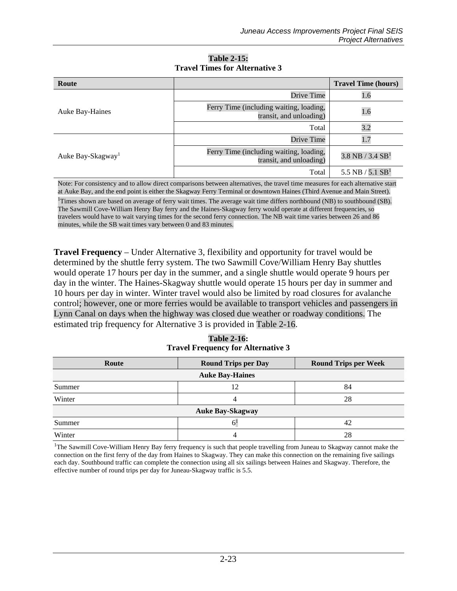<span id="page-22-0"></span>

| Route                         |                                                                    | <b>Travel Time (hours)</b>       |
|-------------------------------|--------------------------------------------------------------------|----------------------------------|
|                               | Drive Time                                                         | 1.6                              |
| Auke Bay-Haines               | Ferry Time (including waiting, loading,<br>transit, and unloading) | 1.6                              |
|                               | Total                                                              | 3.2                              |
|                               | Drive Time                                                         | 1.7                              |
| Auke Bay-Skagway <sup>1</sup> | Ferry Time (including waiting, loading,<br>transit, and unloading) | $3.8$ NB / $3.4$ SB <sup>1</sup> |
|                               | Total                                                              | 5.5 NB $/$ 5.1 SB <sup>1</sup>   |

#### **Table 2-15: Travel Times for Alternative 3**

Note: For consistency and to allow direct comparisons between alternatives, the travel time measures for each alternative start at Auke Bay, and the end point is either the Skagway Ferry Terminal or downtown Haines (Third Avenue and Main Street).

<sup>1</sup>Times shown are based on average of ferry wait times. The average wait time differs northbound (NB) to southbound (SB). The Sawmill Cove-William Henry Bay ferry and the Haines-Skagway ferry would operate at different frequencies, so travelers would have to wait varying times for the second ferry connection. The NB wait time varies between 26 and 86 minutes, while the SB wait times vary between 0 and 83 minutes.

**Travel Frequency** – Under Alternative 3, flexibility and opportunity for travel would be determined by the shuttle ferry system. The two Sawmill Cove/William Henry Bay shuttles would operate 17 hours per day in the summer, and a single shuttle would operate 9 hours per day in the winter. The Haines-Skagway shuttle would operate 15 hours per day in summer and 10 hours per day in winter. Winter travel would also be limited by road closures for avalanche control; however, one or more ferries would be available to transport vehicles and passengers in Lynn Canal on days when the highway was closed due weather or roadway conditions. The estimated trip frequency for Alternative 3 is provided in [Table 2-16.](#page-22-1)

**Table 2-16: Travel Frequency for Alternative 3**

<span id="page-22-1"></span>

| Route                   | <b>Round Trips per Day</b> | <b>Round Trips per Week</b> |  |  |  |
|-------------------------|----------------------------|-----------------------------|--|--|--|
|                         | <b>Auke Bay-Haines</b>     |                             |  |  |  |
| Summer                  | 12                         | 84                          |  |  |  |
| Winter                  | 4                          | 28                          |  |  |  |
| <b>Auke Bay-Skagway</b> |                            |                             |  |  |  |
| Summer                  |                            | 42                          |  |  |  |
| Winter                  |                            | 28                          |  |  |  |

<sup>1</sup>The Sawmill Cove-William Henry Bay ferry frequency is such that people travelling from Juneau to Skagway cannot make the connection on the first ferry of the day from Haines to Skagway. They can make this connection on the remaining five sailings each day. Southbound traffic can complete the connection using all six sailings between Haines and Skagway. Therefore, the effective number of round trips per day for Juneau-Skagway traffic is 5.5.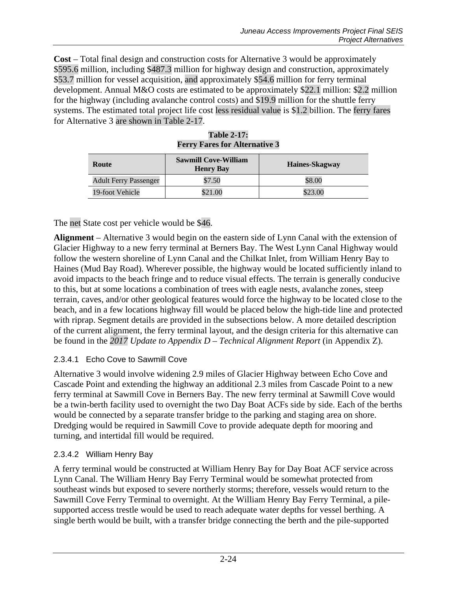**Cost** – Total final design and construction costs for Alternative 3 would be approximately \$595.6 million, including \$487.3 million for highway design and construction, approximately \$53.7 million for vessel acquisition, and approximately \$54.6 million for ferry terminal development. Annual M&O costs are estimated to be approximately \$22.1 million: \$2.2 million for the highway (including avalanche control costs) and \$19.9 million for the shuttle ferry systems. The estimated total project life cost less residual value is \$1.2 billion. The ferry fares for Alternative 3 are shown in [Table 2-17.](#page-23-0)

<span id="page-23-0"></span>

| Route                        | <b>Sawmill Cove-William</b><br><b>Henry Bay</b> | Haines-Skagway |
|------------------------------|-------------------------------------------------|----------------|
| <b>Adult Ferry Passenger</b> | \$7.50                                          | \$8.00         |
| 19-foot Vehicle              | \$21.00                                         | \$23.00        |

|  | <b>Table 2-17:</b> |                                      |  |
|--|--------------------|--------------------------------------|--|
|  |                    | <b>Ferry Fares for Alternative 3</b> |  |

The net State cost per vehicle would be \$46.

**Alignment** – Alternative 3 would begin on the eastern side of Lynn Canal with the extension of Glacier Highway to a new ferry terminal at Berners Bay. The West Lynn Canal Highway would follow the western shoreline of Lynn Canal and the Chilkat Inlet, from William Henry Bay to Haines (Mud Bay Road). Wherever possible, the highway would be located sufficiently inland to avoid impacts to the beach fringe and to reduce visual effects. The terrain is generally conducive to this, but at some locations a combination of trees with eagle nests, avalanche zones, steep terrain, caves, and/or other geological features would force the highway to be located close to the beach, and in a few locations highway fill would be placed below the high-tide line and protected with riprap. Segment details are provided in the subsections below. A more detailed description of the current alignment, the ferry terminal layout, and the design criteria for this alternative can be found in the *2017 Update to Appendix D – Technical Alignment Report* (in Appendix Z).

# 2.3.4.1 Echo Cove to Sawmill Cove

Alternative 3 would involve widening 2.9 miles of Glacier Highway between Echo Cove and Cascade Point and extending the highway an additional 2.3 miles from Cascade Point to a new ferry terminal at Sawmill Cove in Berners Bay. The new ferry terminal at Sawmill Cove would be a twin-berth facility used to overnight the two Day Boat ACFs side by side. Each of the berths would be connected by a separate transfer bridge to the parking and staging area on shore. Dredging would be required in Sawmill Cove to provide adequate depth for mooring and turning, and intertidal fill would be required.

# 2.3.4.2 William Henry Bay

A ferry terminal would be constructed at William Henry Bay for Day Boat ACF service across Lynn Canal. The William Henry Bay Ferry Terminal would be somewhat protected from southeast winds but exposed to severe northerly storms; therefore, vessels would return to the Sawmill Cove Ferry Terminal to overnight. At the William Henry Bay Ferry Terminal, a pilesupported access trestle would be used to reach adequate water depths for vessel berthing. A single berth would be built, with a transfer bridge connecting the berth and the pile-supported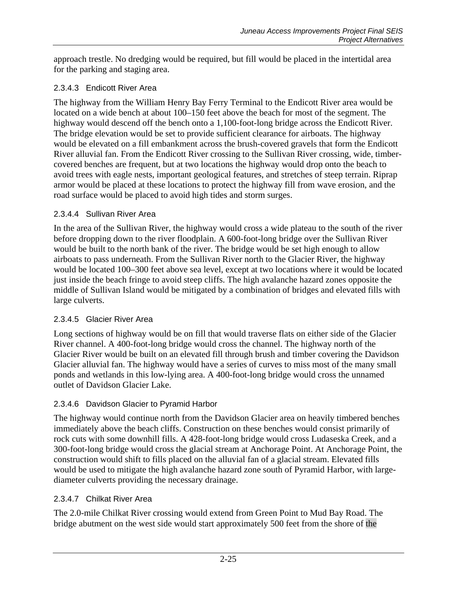approach trestle. No dredging would be required, but fill would be placed in the intertidal area for the parking and staging area.

# 2.3.4.3 Endicott River Area

The highway from the William Henry Bay Ferry Terminal to the Endicott River area would be located on a wide bench at about 100–150 feet above the beach for most of the segment. The highway would descend off the bench onto a 1,100-foot-long bridge across the Endicott River. The bridge elevation would be set to provide sufficient clearance for airboats. The highway would be elevated on a fill embankment across the brush-covered gravels that form the Endicott River alluvial fan. From the Endicott River crossing to the Sullivan River crossing, wide, timbercovered benches are frequent, but at two locations the highway would drop onto the beach to avoid trees with eagle nests, important geological features, and stretches of steep terrain. Riprap armor would be placed at these locations to protect the highway fill from wave erosion, and the road surface would be placed to avoid high tides and storm surges.

# 2.3.4.4 Sullivan River Area

In the area of the Sullivan River, the highway would cross a wide plateau to the south of the river before dropping down to the river floodplain. A 600-foot-long bridge over the Sullivan River would be built to the north bank of the river. The bridge would be set high enough to allow airboats to pass underneath. From the Sullivan River north to the Glacier River, the highway would be located 100–300 feet above sea level, except at two locations where it would be located just inside the beach fringe to avoid steep cliffs. The high avalanche hazard zones opposite the middle of Sullivan Island would be mitigated by a combination of bridges and elevated fills with large culverts.

# 2.3.4.5 Glacier River Area

Long sections of highway would be on fill that would traverse flats on either side of the Glacier River channel. A 400-foot-long bridge would cross the channel. The highway north of the Glacier River would be built on an elevated fill through brush and timber covering the Davidson Glacier alluvial fan. The highway would have a series of curves to miss most of the many small ponds and wetlands in this low-lying area. A 400-foot-long bridge would cross the unnamed outlet of Davidson Glacier Lake.

# 2.3.4.6 Davidson Glacier to Pyramid Harbor

The highway would continue north from the Davidson Glacier area on heavily timbered benches immediately above the beach cliffs. Construction on these benches would consist primarily of rock cuts with some downhill fills. A 428-foot-long bridge would cross Ludaseska Creek, and a 300-foot-long bridge would cross the glacial stream at Anchorage Point. At Anchorage Point, the construction would shift to fills placed on the alluvial fan of a glacial stream. Elevated fills would be used to mitigate the high avalanche hazard zone south of Pyramid Harbor, with largediameter culverts providing the necessary drainage.

# 2.3.4.7 Chilkat River Area

The 2.0-mile Chilkat River crossing would extend from Green Point to Mud Bay Road. The bridge abutment on the west side would start approximately 500 feet from the shore of the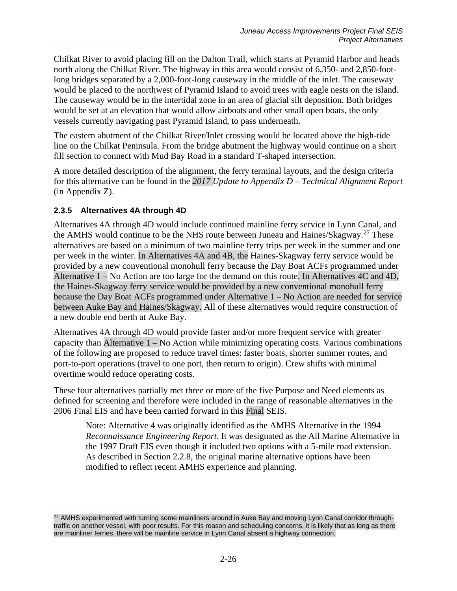Chilkat River to avoid placing fill on the Dalton Trail, which starts at Pyramid Harbor and heads north along the Chilkat River. The highway in this area would consist of 6,350- and 2,850-footlong bridges separated by a 2,000-foot-long causeway in the middle of the inlet. The causeway would be placed to the northwest of Pyramid Island to avoid trees with eagle nests on the island. The causeway would be in the intertidal zone in an area of glacial silt deposition. Both bridges would be set at an elevation that would allow airboats and other small open boats, the only vessels currently navigating past Pyramid Island, to pass underneath.

The eastern abutment of the Chilkat River/Inlet crossing would be located above the high-tide line on the Chilkat Peninsula. From the bridge abutment the highway would continue on a short fill section to connect with Mud Bay Road in a standard T-shaped intersection.

A more detailed description of the alignment, the ferry terminal layouts, and the design criteria for this alternative can be found in the *2017 Update to Appendix D – Technical Alignment Report* (in Appendix Z).

# <span id="page-25-0"></span>**2.3.5 Alternatives 4A through 4D**

 $\overline{a}$ 

Alternatives 4A through 4D would include continued mainline ferry service in Lynn Canal, and the AMHS would continue to be the NHS route between Juneau and Haines/Skagway.<sup>[27](#page-25-1)</sup> These alternatives are based on a minimum of two mainline ferry trips per week in the summer and one per week in the winter. In Alternatives 4A and 4B, the Haines-Skagway ferry service would be provided by a new conventional monohull ferry because the Day Boat ACFs programmed under Alternative 1 – No Action are too large for the demand on this route. In Alternatives 4C and 4D, the Haines-Skagway ferry service would be provided by a new conventional monohull ferry because the Day Boat ACFs programmed under Alternative 1 – No Action are needed for service between Auke Bay and Haines/Skagway. All of these alternatives would require construction of a new double end berth at Auke Bay.

Alternatives 4A through 4D would provide faster and/or more frequent service with greater capacity than Alternative 1 – No Action while minimizing operating costs. Various combinations of the following are proposed to reduce travel times: faster boats, shorter summer routes, and port-to-port operations (travel to one port, then return to origin). Crew shifts with minimal overtime would reduce operating costs.

These four alternatives partially met three or more of the five Purpose and Need elements as defined for screening and therefore were included in the range of reasonable alternatives in the 2006 Final EIS and have been carried forward in this Final SEIS.

Note: Alternative 4 was originally identified as the AMHS Alternative in the 1994 *Reconnaissance Engineering Report*. It was designated as the All Marine Alternative in the 1997 Draft EIS even though it included two options with a 5-mile road extension. As described in Section 2.2.8, the original marine alternative options have been modified to reflect recent AMHS experience and planning.

<span id="page-25-1"></span><sup>&</sup>lt;sup>27</sup> AMHS experimented with turning some mainliners around in Auke Bay and moving Lynn Canal corridor throughtraffic on another vessel, with poor results. For this reason and scheduling concerns, it is likely that as long as there are mainliner ferries, there will be mainline service in Lynn Canal absent a highway connection.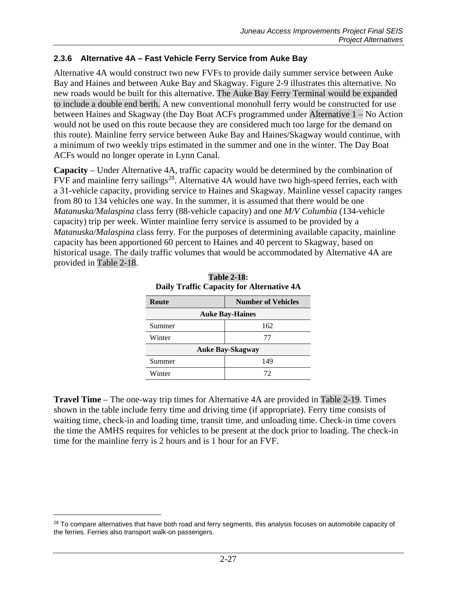# **2.3.6 Alternative 4A – Fast Vehicle Ferry Service from Auke Bay**

Alternative 4A would construct two new FVFs to provide daily summer service between Auke Bay and Haines and between Auke Bay and Skagway. Figure 2-9 illustrates this alternative. No new roads would be built for this alternative. The Auke Bay Ferry Terminal would be expanded to include a double end berth. A new conventional monohull ferry would be constructed for use between Haines and Skagway (the Day Boat ACFs programmed under Alternative 1 – No Action would not be used on this route because they are considered much too large for the demand on this route). Mainline ferry service between Auke Bay and Haines/Skagway would continue, with a minimum of two weekly trips estimated in the summer and one in the winter. The Day Boat ACFs would no longer operate in Lynn Canal.

**Capacity** – Under Alternative 4A, traffic capacity would be determined by the combination of FVF and mainline ferry sailings<sup>28</sup>. Alternative  $4A$  would have two high-speed ferries, each with a 31-vehicle capacity, providing service to Haines and Skagway. Mainline vessel capacity ranges from 80 to 134 vehicles one way. In the summer, it is assumed that there would be one *Matanuska/Malaspina* class ferry (88-vehicle capacity) and one *M/V Columbia* (134-vehicle capacity) trip per week. Winter mainline ferry service is assumed to be provided by a *Matanuska/Malaspina* class ferry*.* For the purposes of determining available capacity, mainline capacity has been apportioned 60 percent to Haines and 40 percent to Skagway, based on historical usage. The daily traffic volumes that would be accommodated by Alternative 4A are provided in [Table 2-18.](#page-26-0)

<span id="page-26-0"></span>

| Route                   | <b>Number of Vehicles</b> |  |  |
|-------------------------|---------------------------|--|--|
| <b>Auke Bay-Haines</b>  |                           |  |  |
| Summer                  | 162                       |  |  |
| Winter                  | 77                        |  |  |
| <b>Auke Bay-Skagway</b> |                           |  |  |
| Summer                  | 149                       |  |  |
| Winter                  | 72                        |  |  |

**Table 2-18: Daily Traffic Capacity for Alternative 4A**

**Travel Time** – The one-way trip times for Alternative 4A are provided in [Table 2-19.](#page-27-0) Times shown in the table include ferry time and driving time (if appropriate). Ferry time consists of waiting time, check-in and loading time, transit time, and unloading time. Check-in time covers the time the AMHS requires for vehicles to be present at the dock prior to loading. The check-in time for the mainline ferry is 2 hours and is 1 hour for an FVF.

 $\overline{a}$ 

<span id="page-26-1"></span><sup>&</sup>lt;sup>28</sup> To compare alternatives that have both road and ferry segments, this analysis focuses on automobile capacity of the ferries. Ferries also transport walk-on passengers.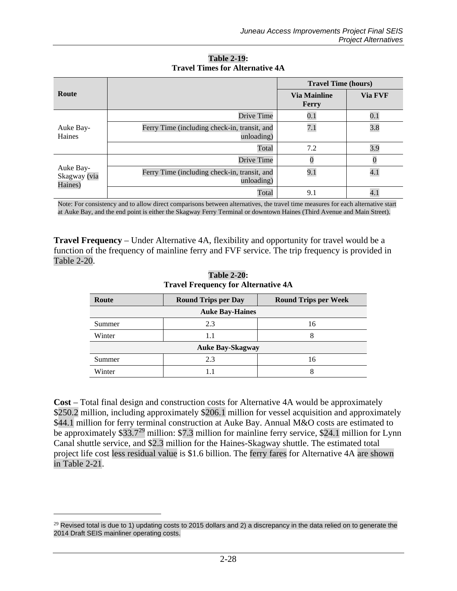<span id="page-27-0"></span>

|                                      |                                                            | <b>Travel Time (hours)</b>   |                  |
|--------------------------------------|------------------------------------------------------------|------------------------------|------------------|
| Route                                |                                                            | <b>Via Mainline</b><br>Ferry | Via FVF          |
|                                      | Drive Time                                                 | $0.1\,$                      | 0.1              |
| Auke Bay-<br>Haines                  | Ferry Time (including check-in, transit, and<br>unloading) | 7.1                          | 3.8              |
|                                      | Total                                                      | 7.2                          | 3.9              |
|                                      | Drive Time                                                 |                              |                  |
| Auke Bay-<br>Skagway (via<br>Haines) | Ferry Time (including check-in, transit, and<br>unloading) | 9.1                          | 4.1              |
|                                      | Total                                                      | 9.1                          | $\overline{4}.1$ |

**Table 2-19: Travel Times for Alternative 4A**

Note: For consistency and to allow direct comparisons between alternatives, the travel time measures for each alternative start at Auke Bay, and the end point is either the Skagway Ferry Terminal or downtown Haines (Third Avenue and Main Street).

<span id="page-27-1"></span>**Travel Frequency** – Under Alternative 4A, flexibility and opportunity for travel would be a function of the frequency of mainline ferry and FVF service. The trip frequency is provided in [Table 2-20.](#page-27-1)

| Route                   | <b>Round Trips per Day</b> | <b>Round Trips per Week</b> |  |  |  |
|-------------------------|----------------------------|-----------------------------|--|--|--|
|                         | <b>Auke Bay-Haines</b>     |                             |  |  |  |
| Summer                  | 2.3                        | 16                          |  |  |  |
| Winter                  | 1.1                        | 8                           |  |  |  |
| <b>Auke Bay-Skagway</b> |                            |                             |  |  |  |
| Summer                  | 2.3                        | 16                          |  |  |  |
| Winter                  |                            |                             |  |  |  |

**Table 2-20: Travel Frequency for Alternative 4A**

**Cost** – Total final design and construction costs for Alternative 4A would be approximately \$250.2 million, including approximately \$206.1 million for vessel acquisition and approximately \$44.1 million for ferry terminal construction at Auke Bay. Annual M&O costs are estimated to be approximately \$33.7<sup>[29](#page-27-2)</sup> million: \$7.3 million for mainline ferry service, \$24.1 million for Lynn Canal shuttle service, and \$2.3 million for the Haines-Skagway shuttle. The estimated total project life cost less residual value is \$1.6 billion. The ferry fares for Alternative 4A are shown in [Table 2-21.](#page-28-0)

 $\overline{a}$ 

<span id="page-27-2"></span> $29$  Revised total is due to 1) updating costs to 2015 dollars and 2) a discrepancy in the data relied on to generate the 2014 Draft SEIS mainliner operating costs.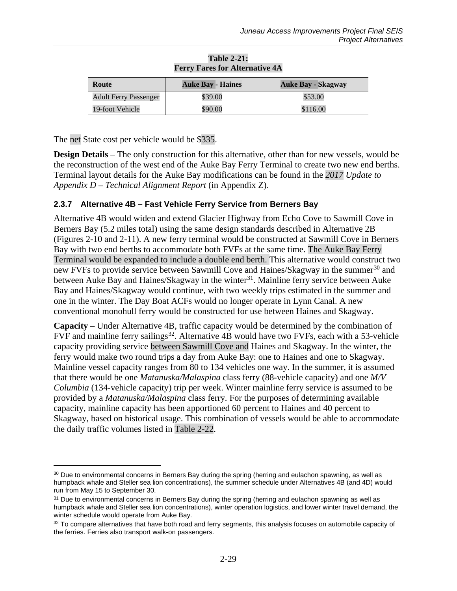<span id="page-28-0"></span>

| Route                        | <b>Auke Bay - Haines</b> | <b>Auke Bay - Skagway</b> |
|------------------------------|--------------------------|---------------------------|
| <b>Adult Ferry Passenger</b> | \$39.00                  | \$53.00                   |
| 19-foot Vehicle              | \$90.00                  | \$116.00                  |

#### **Table 2-21: Ferry Fares for Alternative 4A**

The net State cost per vehicle would be \$335.

 $\overline{a}$ 

**Design Details** – The only construction for this alternative, other than for new vessels, would be the reconstruction of the west end of the Auke Bay Ferry Terminal to create two new end berths. Terminal layout details for the Auke Bay modifications can be found in the *2017 Update to Appendix D – Technical Alignment Report* (in Appendix Z).

### **2.3.7 Alternative 4B – Fast Vehicle Ferry Service from Berners Bay**

Alternative 4B would widen and extend Glacier Highway from Echo Cove to Sawmill Cove in Berners Bay (5.2 miles total) using the same design standards described in Alternative 2B (Figures 2-10 and 2-11). A new ferry terminal would be constructed at Sawmill Cove in Berners Bay with two end berths to accommodate both FVFs at the same time. The Auke Bay Ferry Terminal would be expanded to include a double end berth. This alternative would construct two new FVFs to provide service between Sawmill Cove and Haines/Skagway in the summer<sup>[30](#page-28-1)</sup> and between Auke Bay and Haines/Skagway in the winter<sup>[31](#page-28-2)</sup>. Mainline ferry service between Auke Bay and Haines/Skagway would continue, with two weekly trips estimated in the summer and one in the winter. The Day Boat ACFs would no longer operate in Lynn Canal. A new conventional monohull ferry would be constructed for use between Haines and Skagway.

**Capacity** – Under Alternative 4B, traffic capacity would be determined by the combination of FVF and mainline ferry sailings<sup>32</sup>. Alternative 4B would have two FVFs, each with a 53-vehicle capacity providing service between Sawmill Cove and Haines and Skagway. In the winter, the ferry would make two round trips a day from Auke Bay: one to Haines and one to Skagway. Mainline vessel capacity ranges from 80 to 134 vehicles one way. In the summer, it is assumed that there would be one *Matanuska/Malaspina* class ferry (88-vehicle capacity) and one *M/V Columbia* (134-vehicle capacity) trip per week. Winter mainline ferry service is assumed to be provided by a *Matanuska/Malaspina* class ferry*.* For the purposes of determining available capacity, mainline capacity has been apportioned 60 percent to Haines and 40 percent to Skagway, based on historical usage. This combination of vessels would be able to accommodate the daily traffic volumes listed in [Table 2-22.](#page-29-0)

<span id="page-28-1"></span><sup>&</sup>lt;sup>30</sup> Due to environmental concerns in Berners Bay during the spring (herring and eulachon spawning, as well as humpback whale and Steller sea lion concentrations), the summer schedule under Alternatives 4B (and 4D) would run from May 15 to September 30.

<span id="page-28-2"></span> $31$  Due to environmental concerns in Berners Bay during the spring (herring and eulachon spawning as well as humpback whale and Steller sea lion concentrations), winter operation logistics, and lower winter travel demand, the winter schedule would operate from Auke Bay.

<span id="page-28-3"></span><sup>&</sup>lt;sup>32</sup> To compare alternatives that have both road and ferry segments, this analysis focuses on automobile capacity of the ferries. Ferries also transport walk-on passengers.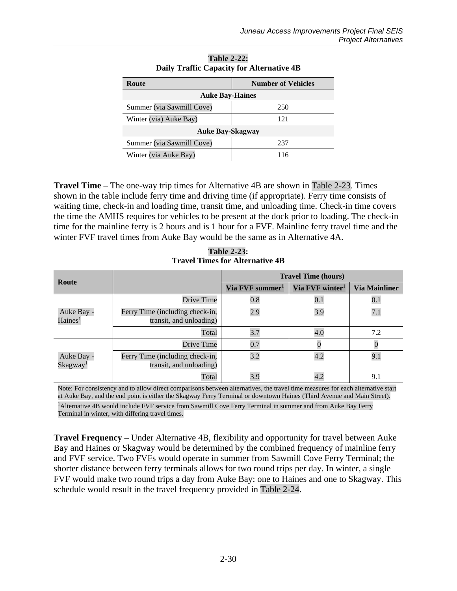<span id="page-29-0"></span>

| Route                     | <b>Number of Vehicles</b> |  |
|---------------------------|---------------------------|--|
| <b>Auke Bay-Haines</b>    |                           |  |
| Summer (via Sawmill Cove) | 250                       |  |
| Winter (via) Auke Bay)    | 121                       |  |
| <b>Auke Bay-Skagway</b>   |                           |  |
| Summer (via Sawmill Cove) | 237                       |  |
| Winter (via Auke Bay)     |                           |  |

**Table 2-22: Daily Traffic Capacity for Alternative 4B**

**Travel Time** – The one-way trip times for Alternative 4B are shown in [Table 2-23.](#page-29-1) Times shown in the table include ferry time and driving time (if appropriate). Ferry time consists of waiting time, check-in and loading time, transit time, and unloading time. Check-in time covers the time the AMHS requires for vehicles to be present at the dock prior to loading. The check-in time for the mainline ferry is 2 hours and is 1 hour for a FVF. Mainline ferry travel time and the winter FVF travel times from Auke Bay would be the same as in Alternative 4A.

**Table 2-23: Travel Times for Alternative 4B**

<span id="page-29-1"></span>

| Route                              |                                                            | <b>Travel Time (hours)</b>  |                             |                      |
|------------------------------------|------------------------------------------------------------|-----------------------------|-----------------------------|----------------------|
|                                    |                                                            | Via FVF summer <sup>1</sup> | Via FVF winter <sup>1</sup> | <b>Via Mainliner</b> |
|                                    | Drive Time                                                 | $0.8\,$                     | $0.1\,$                     | $0.1\,$              |
| Auke Bay -<br>Haines <sup>1</sup>  | Ferry Time (including check-in,<br>transit, and unloading) | 2.9                         | 3.9                         | 7.1                  |
|                                    | Total                                                      | 3.7                         | 4.0                         | 7.2                  |
|                                    | Drive Time                                                 | 0.7                         |                             |                      |
| Auke Bay -<br>Skagway <sup>1</sup> | Ferry Time (including check-in,<br>transit, and unloading) | 3.2                         | 4.2                         | 9.1                  |
|                                    | Total                                                      | 3.9                         | 4.2                         | 9.1                  |

Note: For consistency and to allow direct comparisons between alternatives, the travel time measures for each alternative start at Auke Bay, and the end point is either the Skagway Ferry Terminal or downtown Haines (Third Avenue and Main Street). <sup>1</sup> Alternative 4B would include FVF service from Sawmill Cove Ferry Terminal in summer and from Auke Bay Ferry Terminal in winter, with differing travel times.

**Travel Frequency** – Under Alternative 4B, flexibility and opportunity for travel between Auke Bay and Haines or Skagway would be determined by the combined frequency of mainline ferry and FVF service. Two FVFs would operate in summer from Sawmill Cove Ferry Terminal; the shorter distance between ferry terminals allows for two round trips per day. In winter, a single FVF would make two round trips a day from Auke Bay: one to Haines and one to Skagway. This schedule would result in the travel frequency provided in [Table 2-24.](#page-30-0)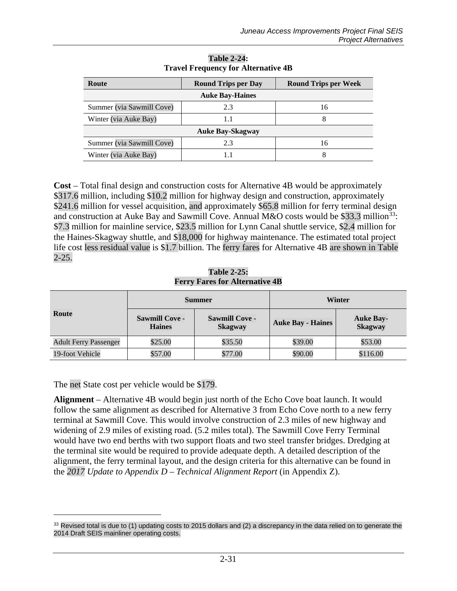<span id="page-30-0"></span>

| Route                     | <b>Round Trips per Day</b> | <b>Round Trips per Week</b> |  |  |  |
|---------------------------|----------------------------|-----------------------------|--|--|--|
|                           | <b>Auke Bay-Haines</b>     |                             |  |  |  |
| Summer (via Sawmill Cove) | 2.3                        | 16                          |  |  |  |
| Winter (via Auke Bay)     |                            |                             |  |  |  |
| <b>Auke Bay-Skagway</b>   |                            |                             |  |  |  |
| Summer (via Sawmill Cove) | 2.3                        | 16                          |  |  |  |
| Winter (via Auke Bay)     |                            |                             |  |  |  |

**Table 2-24: Travel Frequency for Alternative 4B**

**Cost** – Total final design and construction costs for Alternative 4B would be approximately \$317.6 million, including \$10.2 million for highway design and construction, approximately \$241.6 million for vessel acquisition, and approximately \$65.8 million for ferry terminal design and construction at Auke Bay and Sawmill Cove. Annual M&O costs would be \$33.3 million<sup>33</sup>: \$7.3 million for mainline service, \$23.5 million for Lynn Canal shuttle service, \$2.4 million for the Haines-Skagway shuttle, and \$18,000 for highway maintenance. The estimated total project life cost less residual value is \$1.7 billion. The ferry fares for Alternative 4B are shown in [Table](#page-30-1)  [2-25.](#page-30-1)

**Table 2-25: Ferry Fares for Alternative 4B**

<span id="page-30-1"></span>

|                              | <b>Summer</b>                                                                     |         | Winter                   |                                    |
|------------------------------|-----------------------------------------------------------------------------------|---------|--------------------------|------------------------------------|
| Route                        | <b>Sawmill Cove -</b><br><b>Sawmill Cove -</b><br><b>Haines</b><br><b>Skagway</b> |         | <b>Auke Bay - Haines</b> | <b>Auke Bay-</b><br><b>Skagway</b> |
| <b>Adult Ferry Passenger</b> | \$25.00                                                                           | \$35.50 | \$39.00                  | \$53.00                            |
| 19-foot Vehicle              | \$57.00                                                                           | \$77.00 | \$90.00                  | \$116.00                           |

The net State cost per vehicle would be \$179.

 $\overline{a}$ 

**Alignment** – Alternative 4B would begin just north of the Echo Cove boat launch. It would follow the same alignment as described for Alternative 3 from Echo Cove north to a new ferry terminal at Sawmill Cove. This would involve construction of 2.3 miles of new highway and widening of 2.9 miles of existing road. (5.2 miles total). The Sawmill Cove Ferry Terminal would have two end berths with two support floats and two steel transfer bridges. Dredging at the terminal site would be required to provide adequate depth. A detailed description of the alignment, the ferry terminal layout, and the design criteria for this alternative can be found in the *2017 Update to Appendix D – Technical Alignment Report* (in Appendix Z).

<span id="page-30-2"></span> $33$  Revised total is due to (1) updating costs to 2015 dollars and (2) a discrepancy in the data relied on to generate the 2014 Draft SEIS mainliner operating costs.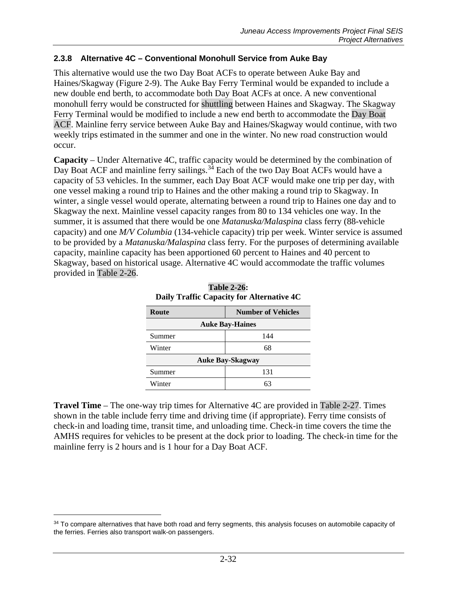### **2.3.8 Alternative 4C – Conventional Monohull Service from Auke Bay**

This alternative would use the two Day Boat ACFs to operate between Auke Bay and Haines/Skagway (Figure 2-9). The Auke Bay Ferry Terminal would be expanded to include a new double end berth, to accommodate both Day Boat ACFs at once. A new conventional monohull ferry would be constructed for shuttling between Haines and Skagway. The Skagway Ferry Terminal would be modified to include a new end berth to accommodate the Day Boat ACF. Mainline ferry service between Auke Bay and Haines/Skagway would continue, with two weekly trips estimated in the summer and one in the winter. No new road construction would occur.

**Capacity** – Under Alternative 4C, traffic capacity would be determined by the combination of Day Boat ACF and mainline ferry sailings.<sup>[34](#page-31-1)</sup> Each of the two Day Boat ACFs would have a capacity of 53 vehicles. In the summer, each Day Boat ACF would make one trip per day, with one vessel making a round trip to Haines and the other making a round trip to Skagway. In winter, a single vessel would operate, alternating between a round trip to Haines one day and to Skagway the next. Mainline vessel capacity ranges from 80 to 134 vehicles one way. In the summer, it is assumed that there would be one *Matanuska/Malaspina* class ferry (88-vehicle capacity) and one *M/V Columbia* (134-vehicle capacity) trip per week. Winter service is assumed to be provided by a *Matanuska/Malaspina* class ferry*.* For the purposes of determining available capacity, mainline capacity has been apportioned 60 percent to Haines and 40 percent to Skagway, based on historical usage. Alternative 4C would accommodate the traffic volumes provided in [Table 2-26.](#page-31-0)

<span id="page-31-0"></span>

| Route                   | <b>Number of Vehicles</b> |  |
|-------------------------|---------------------------|--|
| <b>Auke Bay-Haines</b>  |                           |  |
| Summer                  | 144                       |  |
| Winter                  | 68                        |  |
| <b>Auke Bay-Skagway</b> |                           |  |
| Summer                  | 131                       |  |
| Winter                  | 63                        |  |

|                                           | <b>Table 2-26:</b> |  |
|-------------------------------------------|--------------------|--|
| Daily Traffic Capacity for Alternative 4C |                    |  |

**Travel Time** – The one-way trip times for Alternative 4C are provided in [Table 2-27.](#page-32-0) Times shown in the table include ferry time and driving time (if appropriate). Ferry time consists of check-in and loading time, transit time, and unloading time. Check-in time covers the time the AMHS requires for vehicles to be present at the dock prior to loading. The check-in time for the mainline ferry is 2 hours and is 1 hour for a Day Boat ACF.

 $\overline{a}$ 

<span id="page-31-1"></span><sup>&</sup>lt;sup>34</sup> To compare alternatives that have both road and ferry segments, this analysis focuses on automobile capacity of the ferries. Ferries also transport walk-on passengers.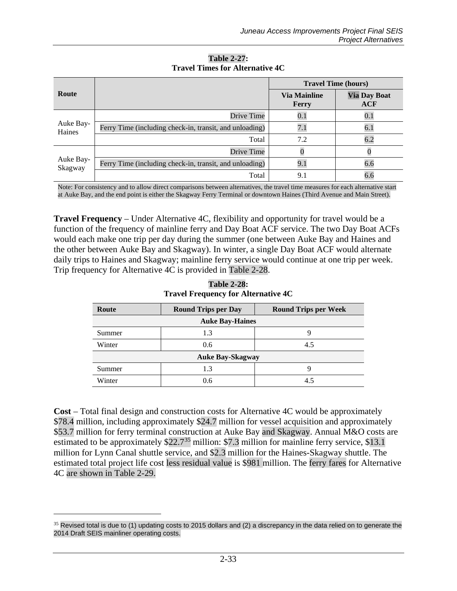<span id="page-32-0"></span>

|                      |                                                         | <b>Travel Time (hours)</b>   |                            |
|----------------------|---------------------------------------------------------|------------------------------|----------------------------|
| Route                |                                                         | <b>Via Mainline</b><br>Ferry | <b>Via Day Boat</b><br>ACF |
|                      | Drive Time                                              | 0.1                          | 0.1                        |
| Auke Bay-<br>Haines  | Ferry Time (including check-in, transit, and unloading) |                              | 6.1                        |
|                      | Total                                                   | 7.2                          | 6.2                        |
|                      | Drive Time                                              |                              |                            |
| Auke Bay-<br>Skagway | Ferry Time (including check-in, transit, and unloading) | 9.1                          | 6.6                        |
|                      | Total                                                   | 9.1                          | 6.6                        |

**Table 2-27: Travel Times for Alternative 4C**

Note: For consistency and to allow direct comparisons between alternatives, the travel time measures for each alternative start at Auke Bay, and the end point is either the Skagway Ferry Terminal or downtown Haines (Third Avenue and Main Street).

**Travel Frequency** – Under Alternative 4C, flexibility and opportunity for travel would be a function of the frequency of mainline ferry and Day Boat ACF service. The two Day Boat ACFs would each make one trip per day during the summer (one between Auke Bay and Haines and the other between Auke Bay and Skagway). In winter, a single Day Boat ACF would alternate daily trips to Haines and Skagway; mainline ferry service would continue at one trip per week. Trip frequency for Alternative 4C is provided in [Table 2-28.](#page-32-1)

<span id="page-32-1"></span>

| Route                   | <b>Round Trips per Day</b> | <b>Round Trips per Week</b> |  |  |
|-------------------------|----------------------------|-----------------------------|--|--|
| <b>Auke Bay-Haines</b>  |                            |                             |  |  |
| Summer                  | 1.3                        |                             |  |  |
| Winter                  | 0.6                        | 4.5                         |  |  |
| <b>Auke Bay-Skagway</b> |                            |                             |  |  |
| Summer                  | 1.3                        |                             |  |  |
| Winter                  | 0.6                        | 4.5                         |  |  |

**Table 2-28: Travel Frequency for Alternative 4C**

**Cost** – Total final design and construction costs for Alternative 4C would be approximately \$78.4 million, including approximately \$24.7 million for vessel acquisition and approximately \$53.7 million for ferry terminal construction at Auke Bay and Skagway. Annual M&O costs are estimated to be approximately  $$22.7^{35}$  $$22.7^{35}$  $$22.7^{35}$  million: \$7.3 million for mainline ferry service, \$13.1 million for Lynn Canal shuttle service, and \$2.3 million for the Haines-Skagway shuttle. The estimated total project life cost less residual value is \$981 million. The ferry fares for Alternative 4C are shown in [Table 2-29.](#page-33-1)

 $\overline{a}$ 

<span id="page-32-2"></span> $35$  Revised total is due to (1) updating costs to 2015 dollars and (2) a discrepancy in the data relied on to generate the 2014 Draft SEIS mainliner operating costs.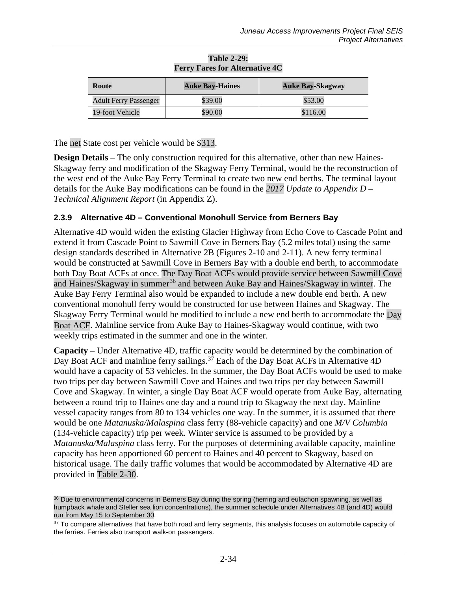<span id="page-33-1"></span>

| Route                        | <b>Auke Bay-Haines</b> | <b>Auke Bay-Skagway</b> |
|------------------------------|------------------------|-------------------------|
| <b>Adult Ferry Passenger</b> | \$39.00                | \$53.00                 |
| 19-foot Vehicle              | \$90.00                | \$116.00                |

#### **Table 2-29: Ferry Fares for Alternative 4C**

The net State cost per vehicle would be \$313.

 $\overline{a}$ 

**Design Details** – The only construction required for this alternative, other than new Haines-Skagway ferry and modification of the Skagway Ferry Terminal, would be the reconstruction of the west end of the Auke Bay Ferry Terminal to create two new end berths. The terminal layout details for the Auke Bay modifications can be found in the *2017 Update to Appendix D – Technical Alignment Report* (in Appendix Z).

# <span id="page-33-0"></span>**2.3.9 Alternative 4D – Conventional Monohull Service from Berners Bay**

Alternative 4D would widen the existing Glacier Highway from Echo Cove to Cascade Point and extend it from Cascade Point to Sawmill Cove in Berners Bay (5.2 miles total) using the same design standards described in Alternative 2B (Figures 2-10 and 2-11). A new ferry terminal would be constructed at Sawmill Cove in Berners Bay with a double end berth, to accommodate both Day Boat ACFs at once. The Day Boat ACFs would provide service between Sawmill Cove and Haines/Skagway in summer<sup>[36](#page-33-2)</sup> and between Auke Bay and Haines/Skagway in winter. The Auke Bay Ferry Terminal also would be expanded to include a new double end berth. A new conventional monohull ferry would be constructed for use between Haines and Skagway. The Skagway Ferry Terminal would be modified to include a new end berth to accommodate the Day Boat ACF. Mainline service from Auke Bay to Haines-Skagway would continue, with two weekly trips estimated in the summer and one in the winter.

**Capacity** – Under Alternative 4D, traffic capacity would be determined by the combination of Day Boat ACF and mainline ferry sailings.<sup>[37](#page-33-3)</sup> Each of the Day Boat ACFs in Alternative 4D would have a capacity of 53 vehicles. In the summer, the Day Boat ACFs would be used to make two trips per day between Sawmill Cove and Haines and two trips per day between Sawmill Cove and Skagway. In winter, a single Day Boat ACF would operate from Auke Bay, alternating between a round trip to Haines one day and a round trip to Skagway the next day. Mainline vessel capacity ranges from 80 to 134 vehicles one way. In the summer, it is assumed that there would be one *Matanuska/Malaspina* class ferry (88-vehicle capacity) and one *M/V Columbia* (134-vehicle capacity) trip per week. Winter service is assumed to be provided by a *Matanuska/Malaspina* class ferry*.* For the purposes of determining available capacity, mainline capacity has been apportioned 60 percent to Haines and 40 percent to Skagway, based on historical usage. The daily traffic volumes that would be accommodated by Alternative 4D are provided in [Table 2-30.](#page-34-0)

<span id="page-33-2"></span><sup>&</sup>lt;sup>36</sup> Due to environmental concerns in Berners Bay during the spring (herring and eulachon spawning, as well as humpback whale and Steller sea lion concentrations), the summer schedule under Alternatives 4B (and 4D) would run from May 15 to September 30.

<span id="page-33-3"></span><sup>37</sup> To compare alternatives that have both road and ferry segments, this analysis focuses on automobile capacity of the ferries. Ferries also transport walk-on passengers.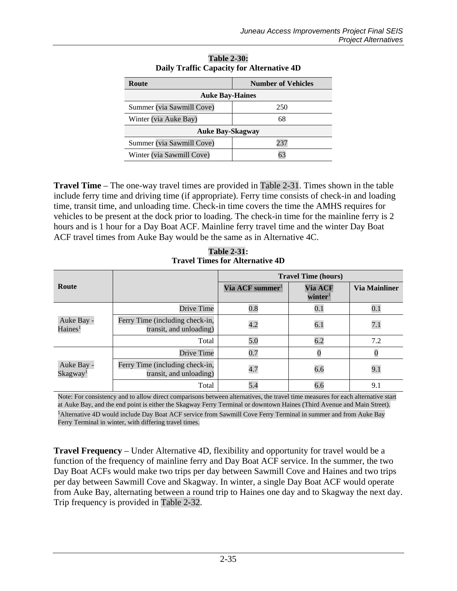<span id="page-34-0"></span>

| Route                     | <b>Number of Vehicles</b> |  |
|---------------------------|---------------------------|--|
| <b>Auke Bay-Haines</b>    |                           |  |
| Summer (via Sawmill Cove) | 250                       |  |
| Winter (via Auke Bay)     | 68                        |  |
| <b>Auke Bay-Skagway</b>   |                           |  |
| Summer (via Sawmill Cove) | 237                       |  |
| Winter (via Sawmill Cove) |                           |  |

| <b>Table 2-30:</b> |                                           |
|--------------------|-------------------------------------------|
|                    | Daily Traffic Capacity for Alternative 4D |

**Travel Time** – The one-way travel times are provided in [Table 2-31.](#page-34-1) Times shown in the table include ferry time and driving time (if appropriate). Ferry time consists of check-in and loading time, transit time, and unloading time. Check-in time covers the time the AMHS requires for vehicles to be present at the dock prior to loading. The check-in time for the mainline ferry is 2 hours and is 1 hour for a Day Boat ACF. Mainline ferry travel time and the winter Day Boat ACF travel times from Auke Bay would be the same as in Alternative 4C.

**Table 2-31: Travel Times for Alternative 4D**

<span id="page-34-1"></span>

|                                    |                                                            | <b>Travel Time (hours)</b>  |                                |                      |
|------------------------------------|------------------------------------------------------------|-----------------------------|--------------------------------|----------------------|
| Route                              |                                                            | Via ACF summer <sup>1</sup> | Via ACF<br>winter <sup>1</sup> | <b>Via Mainliner</b> |
|                                    | Drive Time                                                 | 0.8                         | $0.1\,$                        | 0.1                  |
| Auke Bay -<br>Haines <sup>1</sup>  | Ferry Time (including check-in,<br>transit, and unloading) | 4.2                         | 6.1                            | 7.1                  |
|                                    | Total                                                      | 5.0                         | 6.2                            | 7.2                  |
| Auke Bay -<br>Skagway <sup>1</sup> | <b>Drive Time</b>                                          | 0.7                         |                                |                      |
|                                    | Ferry Time (including check-in,<br>transit, and unloading) | 4.7                         | 6.6                            | 9.1                  |
|                                    | Total                                                      | 5.4                         | 6.6                            | 9.1                  |

Note: For consistency and to allow direct comparisons between alternatives, the travel time measures for each alternative start at Auke Bay, and the end point is either the Skagway Ferry Terminal or downtown Haines (Third Avenue and Main Street).

<sup>1</sup>Alternative 4D would include Day Boat ACF service from Sawmill Cove Ferry Terminal in summer and from Auke Bay Ferry Terminal in winter, with differing travel times.

**Travel Frequency** – Under Alternative 4D, flexibility and opportunity for travel would be a function of the frequency of mainline ferry and Day Boat ACF service. In the summer, the two Day Boat ACFs would make two trips per day between Sawmill Cove and Haines and two trips per day between Sawmill Cove and Skagway. In winter, a single Day Boat ACF would operate from Auke Bay, alternating between a round trip to Haines one day and to Skagway the next day. Trip frequency is provided in [Table 2-32.](#page-35-0)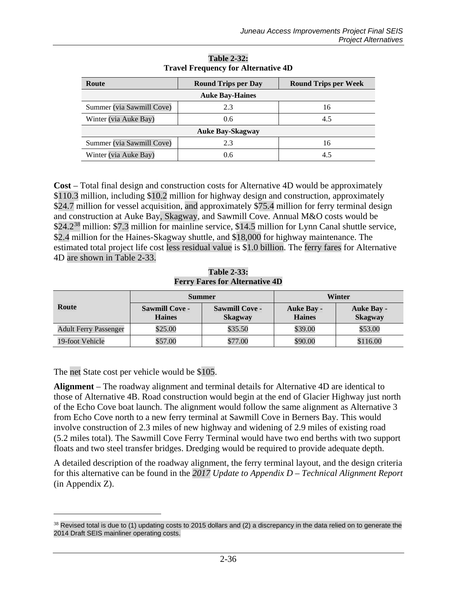<span id="page-35-0"></span>

| Route                     | <b>Round Trips per Day</b> | <b>Round Trips per Week</b> |  |  |  |  |
|---------------------------|----------------------------|-----------------------------|--|--|--|--|
| <b>Auke Bay-Haines</b>    |                            |                             |  |  |  |  |
| Summer (via Sawmill Cove) | 2.3                        | 16                          |  |  |  |  |
| Winter (via Auke Bay)     | 0.6                        | 4.5                         |  |  |  |  |
| <b>Auke Bay-Skagway</b>   |                            |                             |  |  |  |  |
| Summer (via Sawmill Cove) | 2.3                        | 16                          |  |  |  |  |
| Winter (via Auke Bay)     | 0.6                        | 4.5                         |  |  |  |  |

**Table 2-32: Travel Frequency for Alternative 4D**

**Cost** – Total final design and construction costs for Alternative 4D would be approximately \$110.3 million, including \$10.2 million for highway design and construction, approximately \$24.7 million for vessel acquisition, and approximately \$75.4 million for ferry terminal design and construction at Auke Bay, Skagway, and Sawmill Cove. Annual M&O costs would be \$24.2<sup>[38](#page-35-2)</sup> million: \$7.3 million for mainline service, \$14.5 million for Lynn Canal shuttle service, \$2.4 million for the Haines-Skagway shuttle, and \$18,000 for highway maintenance. The estimated total project life cost less residual value is \$1.0 billion. The ferry fares for Alternative 4D are shown in [Table 2-33.](#page-35-1)

**Table 2-33: Ferry Fares for Alternative 4D**

<span id="page-35-1"></span>

| Route                        | <b>Summer</b>                          |                                         | Winter                             |                                     |
|------------------------------|----------------------------------------|-----------------------------------------|------------------------------------|-------------------------------------|
|                              | <b>Sawmill Cove -</b><br><b>Haines</b> | <b>Sawmill Cove -</b><br><b>Skagway</b> | <b>Auke Bay -</b><br><b>Haines</b> | <b>Auke Bay -</b><br><b>Skagway</b> |
| <b>Adult Ferry Passenger</b> | \$25.00                                | \$35.50                                 | \$39.00                            | \$53.00                             |
| 19-foot Vehicle              | \$57.00                                | \$77.00                                 | \$90.00                            | \$116.00                            |

The net State cost per vehicle would be \$105.

 $\overline{a}$ 

**Alignment** – The roadway alignment and terminal details for Alternative 4D are identical to those of Alternative 4B. Road construction would begin at the end of Glacier Highway just north of the Echo Cove boat launch. The alignment would follow the same alignment as Alternative 3 from Echo Cove north to a new ferry terminal at Sawmill Cove in Berners Bay. This would involve construction of 2.3 miles of new highway and widening of 2.9 miles of existing road (5.2 miles total). The Sawmill Cove Ferry Terminal would have two end berths with two support floats and two steel transfer bridges. Dredging would be required to provide adequate depth.

A detailed description of the roadway alignment, the ferry terminal layout, and the design criteria for this alternative can be found in the *2017 Update to Appendix D – Technical Alignment Report* (in Appendix Z).

<span id="page-35-2"></span> $38$  Revised total is due to (1) updating costs to 2015 dollars and (2) a discrepancy in the data relied on to generate the 2014 Draft SEIS mainliner operating costs.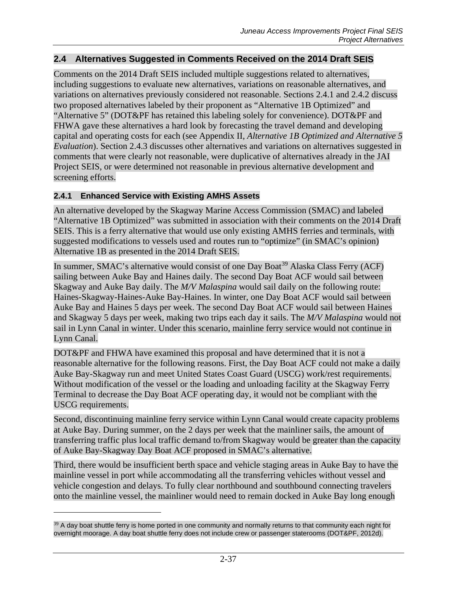# **2.4 Alternatives Suggested in Comments Received on the 2014 Draft SEIS**

Comments on the 2014 Draft SEIS included multiple suggestions related to alternatives, including suggestions to evaluate new alternatives, variations on reasonable alternatives, and variations on alternatives previously considered not reasonable. Sections 2.4.1 and 2.4.2 discuss two proposed alternatives labeled by their proponent as "Alternative 1B Optimized" and "Alternative 5" (DOT&PF has retained this labeling solely for convenience). DOT&PF and FHWA gave these alternatives a hard look by forecasting the travel demand and developing capital and operating costs for each (see Appendix II, *Alternative 1B Optimized and Alternative 5 Evaluation*). Section 2.4.3 discusses other alternatives and variations on alternatives suggested in comments that were clearly not reasonable, were duplicative of alternatives already in the JAI Project SEIS, or were determined not reasonable in previous alternative development and screening efforts.

#### **2.4.1 Enhanced Service with Existing AMHS Assets**

 $\overline{a}$ 

An alternative developed by the Skagway Marine Access Commission (SMAC) and labeled "Alternative 1B Optimized" was submitted in association with their comments on the 2014 Draft SEIS. This is a ferry alternative that would use only existing AMHS ferries and terminals, with suggested modifications to vessels used and routes run to "optimize" (in SMAC's opinion) Alternative 1B as presented in the 2014 Draft SEIS.

In summer, SMAC's alternative would consist of one Day Boat<sup>[39](#page-36-0)</sup> Alaska Class Ferry (ACF) sailing between Auke Bay and Haines daily. The second Day Boat ACF would sail between Skagway and Auke Bay daily. The *M/V Malaspina* would sail daily on the following route: Haines-Skagway-Haines-Auke Bay-Haines. In winter, one Day Boat ACF would sail between Auke Bay and Haines 5 days per week. The second Day Boat ACF would sail between Haines and Skagway 5 days per week, making two trips each day it sails. The *M/V Malaspina* would not sail in Lynn Canal in winter. Under this scenario, mainline ferry service would not continue in Lynn Canal.

DOT&PF and FHWA have examined this proposal and have determined that it is not a reasonable alternative for the following reasons. First, the Day Boat ACF could not make a daily Auke Bay-Skagway run and meet United States Coast Guard (USCG) work/rest requirements. Without modification of the vessel or the loading and unloading facility at the Skagway Ferry Terminal to decrease the Day Boat ACF operating day, it would not be compliant with the USCG requirements.

Second, discontinuing mainline ferry service within Lynn Canal would create capacity problems at Auke Bay. During summer, on the 2 days per week that the mainliner sails, the amount of transferring traffic plus local traffic demand to/from Skagway would be greater than the capacity of Auke Bay-Skagway Day Boat ACF proposed in SMAC's alternative.

Third, there would be insufficient berth space and vehicle staging areas in Auke Bay to have the mainline vessel in port while accommodating all the transferring vehicles without vessel and vehicle congestion and delays. To fully clear northbound and southbound connecting travelers onto the mainline vessel, the mainliner would need to remain docked in Auke Bay long enough

<span id="page-36-0"></span> $39$  A day boat shuttle ferry is home ported in one community and normally returns to that community each night for overnight moorage. A day boat shuttle ferry does not include crew or passenger staterooms (DOT&PF, 2012d).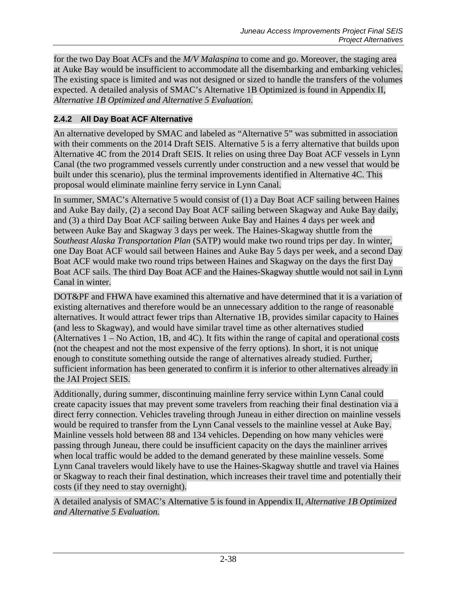for the two Day Boat ACFs and the *M/V Malaspina* to come and go. Moreover, the staging area at Auke Bay would be insufficient to accommodate all the disembarking and embarking vehicles. The existing space is limited and was not designed or sized to handle the transfers of the volumes expected. A detailed analysis of SMAC's Alternative 1B Optimized is found in Appendix II, *Alternative 1B Optimized and Alternative 5 Evaluation*.

# **2.4.2 All Day Boat ACF Alternative**

An alternative developed by SMAC and labeled as "Alternative 5" was submitted in association with their comments on the 2014 Draft SEIS. Alternative 5 is a ferry alternative that builds upon Alternative 4C from the 2014 Draft SEIS. It relies on using three Day Boat ACF vessels in Lynn Canal (the two programmed vessels currently under construction and a new vessel that would be built under this scenario), plus the terminal improvements identified in Alternative 4C. This proposal would eliminate mainline ferry service in Lynn Canal.

In summer, SMAC's Alternative 5 would consist of (1) a Day Boat ACF sailing between Haines and Auke Bay daily, (2) a second Day Boat ACF sailing between Skagway and Auke Bay daily, and (3) a third Day Boat ACF sailing between Auke Bay and Haines 4 days per week and between Auke Bay and Skagway 3 days per week. The Haines-Skagway shuttle from the *Southeast Alaska Transportation Plan* (SATP) would make two round trips per day. In winter, one Day Boat ACF would sail between Haines and Auke Bay 5 days per week, and a second Day Boat ACF would make two round trips between Haines and Skagway on the days the first Day Boat ACF sails. The third Day Boat ACF and the Haines-Skagway shuttle would not sail in Lynn Canal in winter.

DOT&PF and FHWA have examined this alternative and have determined that it is a variation of existing alternatives and therefore would be an unnecessary addition to the range of reasonable alternatives. It would attract fewer trips than Alternative 1B, provides similar capacity to Haines (and less to Skagway), and would have similar travel time as other alternatives studied (Alternatives 1 – No Action, 1B, and 4C). It fits within the range of capital and operational costs (not the cheapest and not the most expensive of the ferry options). In short, it is not unique enough to constitute something outside the range of alternatives already studied. Further, sufficient information has been generated to confirm it is inferior to other alternatives already in the JAI Project SEIS.

Additionally, during summer, discontinuing mainline ferry service within Lynn Canal could create capacity issues that may prevent some travelers from reaching their final destination via a direct ferry connection. Vehicles traveling through Juneau in either direction on mainline vessels would be required to transfer from the Lynn Canal vessels to the mainline vessel at Auke Bay. Mainline vessels hold between 88 and 134 vehicles. Depending on how many vehicles were passing through Juneau, there could be insufficient capacity on the days the mainliner arrives when local traffic would be added to the demand generated by these mainline vessels. Some Lynn Canal travelers would likely have to use the Haines-Skagway shuttle and travel via Haines or Skagway to reach their final destination, which increases their travel time and potentially their costs (if they need to stay overnight).

A detailed analysis of SMAC's Alternative 5 is found in Appendix II, *Alternative 1B Optimized and Alternative 5 Evaluation*.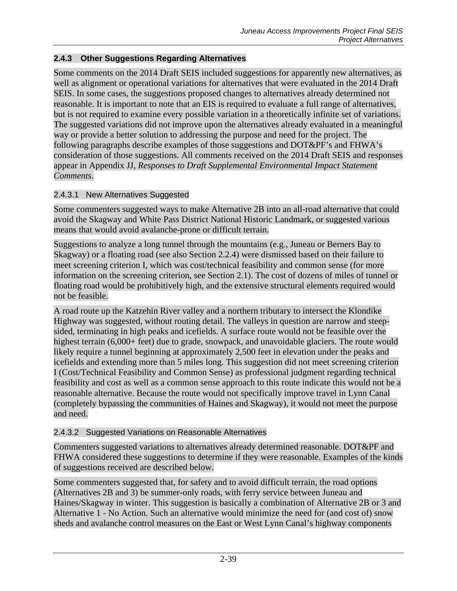# **2.4.3 Other Suggestions Regarding Alternatives**

Some comments on the 2014 Draft SEIS included suggestions for apparently new alternatives, as well as alignment or operational variations for alternatives that were evaluated in the 2014 Draft SEIS. In some cases, the suggestions proposed changes to alternatives already determined not reasonable. It is important to note that an EIS is required to evaluate a full range of alternatives, but is not required to examine every possible variation in a theoretically infinite set of variations. The suggested variations did not improve upon the alternatives already evaluated in a meaningful way or provide a better solution to addressing the purpose and need for the project. The following paragraphs describe examples of those suggestions and DOT&PF's and FHWA's consideration of those suggestions. All comments received on the 2014 Draft SEIS and responses appear in Appendix JJ, *Responses to Draft Supplemental Environmental Impact Statement Comments*.

### 2.4.3.1 New Alternatives Suggested

Some commenters suggested ways to make Alternative 2B into an all-road alternative that could avoid the Skagway and White Pass District National Historic Landmark, or suggested various means that would avoid avalanche-prone or difficult terrain.

Suggestions to analyze a long tunnel through the mountains (e.g., Juneau or Berners Bay to Skagway) or a floating road (see also Section [2.2.4\)](#page-2-0) were dismissed based on their failure to meet screening criterion I, which was cost/technical feasibility and common sense (for more information on the screening criterion, see Section [2.1\)](#page-0-1). The cost of dozens of miles of tunnel or floating road would be prohibitively high, and the extensive structural elements required would not be feasible.

A road route up the Katzehin River valley and a northern tributary to intersect the Klondike Highway was suggested, without routing detail. The valleys in question are narrow and steepsided, terminating in high peaks and icefields. A surface route would not be feasible over the highest terrain (6,000+ feet) due to grade, snowpack, and unavoidable glaciers. The route would likely require a tunnel beginning at approximately 2,500 feet in elevation under the peaks and icefields and extending more than 5 miles long. This suggestion did not meet screening criterion I (Cost/Technical Feasibility and Common Sense) as professional judgment regarding technical feasibility and cost as well as a common sense approach to this route indicate this would not be a reasonable alternative. Because the route would not specifically improve travel in Lynn Canal (completely bypassing the communities of Haines and Skagway), it would not meet the purpose and need.

# 2.4.3.2 Suggested Variations on Reasonable Alternatives

Commenters suggested variations to alternatives already determined reasonable. DOT&PF and FHWA considered these suggestions to determine if they were reasonable. Examples of the kinds of suggestions received are described below.

Some commenters suggested that, for safety and to avoid difficult terrain, the road options (Alternatives 2B and 3) be summer-only roads, with ferry service between Juneau and Haines/Skagway in winter. This suggestion is basically a combination of Alternative 2B or 3 and Alternative 1 - No Action. Such an alternative would minimize the need for (and cost of) snow sheds and avalanche control measures on the East or West Lynn Canal's highway components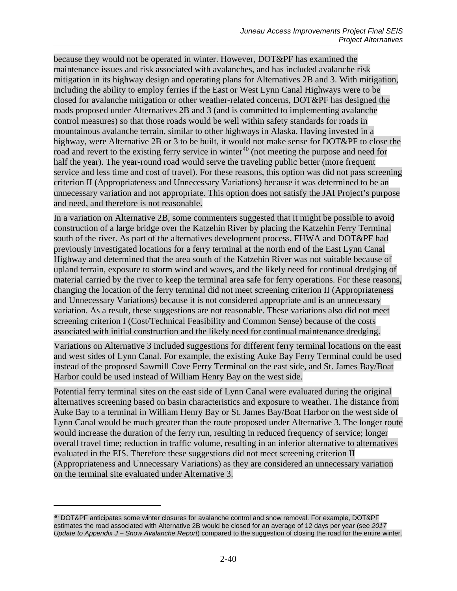because they would not be operated in winter. However, DOT&PF has examined the maintenance issues and risk associated with avalanches, and has included avalanche risk mitigation in its highway design and operating plans for Alternatives 2B and 3. With mitigation, including the ability to employ ferries if the East or West Lynn Canal Highways were to be closed for avalanche mitigation or other weather-related concerns, DOT&PF has designed the roads proposed under Alternatives 2B and 3 (and is committed to implementing avalanche control measures) so that those roads would be well within safety standards for roads in mountainous avalanche terrain, similar to other highways in Alaska. Having invested in a highway, were Alternative 2B or 3 to be built, it would not make sense for DOT&PF to close the road and revert to the existing ferry service in winter<sup>[40](#page-39-0)</sup> (not meeting the purpose and need for half the year). The year-round road would serve the traveling public better (more frequent service and less time and cost of travel). For these reasons, this option was did not pass screening criterion II (Appropriateness and Unnecessary Variations) because it was determined to be an unnecessary variation and not appropriate. This option does not satisfy the JAI Project's purpose and need, and therefore is not reasonable.

In a variation on Alternative 2B, some commenters suggested that it might be possible to avoid construction of a large bridge over the Katzehin River by placing the Katzehin Ferry Terminal south of the river. As part of the alternatives development process, FHWA and DOT&PF had previously investigated locations for a ferry terminal at the north end of the East Lynn Canal Highway and determined that the area south of the Katzehin River was not suitable because of upland terrain, exposure to storm wind and waves, and the likely need for continual dredging of material carried by the river to keep the terminal area safe for ferry operations. For these reasons, changing the location of the ferry terminal did not meet screening criterion II (Appropriateness and Unnecessary Variations) because it is not considered appropriate and is an unnecessary variation. As a result, these suggestions are not reasonable. These variations also did not meet screening criterion I (Cost/Technical Feasibility and Common Sense) because of the costs associated with initial construction and the likely need for continual maintenance dredging.

Variations on Alternative 3 included suggestions for different ferry terminal locations on the east and west sides of Lynn Canal. For example, the existing Auke Bay Ferry Terminal could be used instead of the proposed Sawmill Cove Ferry Terminal on the east side, and St. James Bay/Boat Harbor could be used instead of William Henry Bay on the west side.

Potential ferry terminal sites on the east side of Lynn Canal were evaluated during the original alternatives screening based on basin characteristics and exposure to weather. The distance from Auke Bay to a terminal in William Henry Bay or St. James Bay/Boat Harbor on the west side of Lynn Canal would be much greater than the route proposed under Alternative 3. The longer route would increase the duration of the ferry run, resulting in reduced frequency of service; longer overall travel time; reduction in traffic volume, resulting in an inferior alternative to alternatives evaluated in the EIS. Therefore these suggestions did not meet screening criterion II (Appropriateness and Unnecessary Variations) as they are considered an unnecessary variation on the terminal site evaluated under Alternative 3.

 $\overline{a}$ 

<span id="page-39-0"></span><sup>40</sup> DOT&PF anticipates some winter closures for avalanche control and snow removal. For example, DOT&PF estimates the road associated with Alternative 2B would be closed for an average of 12 days per year (see *2017 Update to Appendix J – Snow Avalanche Report*) compared to the suggestion of closing the road for the entire winter.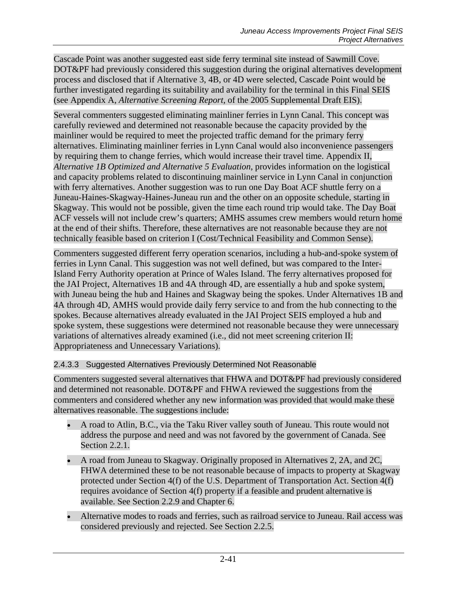Cascade Point was another suggested east side ferry terminal site instead of Sawmill Cove. DOT&PF had previously considered this suggestion during the original alternatives development process and disclosed that if Alternative 3, 4B, or 4D were selected, Cascade Point would be further investigated regarding its suitability and availability for the terminal in this Final SEIS (see Appendix A, *Alternative Screening Report,* of the 2005 Supplemental Draft EIS).

Several commenters suggested eliminating mainliner ferries in Lynn Canal. This concept was carefully reviewed and determined not reasonable because the capacity provided by the mainliner would be required to meet the projected traffic demand for the primary ferry alternatives. Eliminating mainliner ferries in Lynn Canal would also inconvenience passengers by requiring them to change ferries, which would increase their travel time. Appendix II, *Alternative 1B Optimized and Alternative 5 Evaluation*, provides information on the logistical and capacity problems related to discontinuing mainliner service in Lynn Canal in conjunction with ferry alternatives. Another suggestion was to run one Day Boat ACF shuttle ferry on a Juneau-Haines-Skagway-Haines-Juneau run and the other on an opposite schedule, starting in Skagway. This would not be possible, given the time each round trip would take. The Day Boat ACF vessels will not include crew's quarters; AMHS assumes crew members would return home at the end of their shifts. Therefore, these alternatives are not reasonable because they are not technically feasible based on criterion I (Cost/Technical Feasibility and Common Sense).

Commenters suggested different ferry operation scenarios, including a hub-and-spoke system of ferries in Lynn Canal. This suggestion was not well defined, but was compared to the Inter-Island Ferry Authority operation at Prince of Wales Island. The ferry alternatives proposed for the JAI Project, Alternatives 1B and 4A through 4D, are essentially a hub and spoke system, with Juneau being the hub and Haines and Skagway being the spokes. Under Alternatives 1B and 4A through 4D, AMHS would provide daily ferry service to and from the hub connecting to the spokes. Because alternatives already evaluated in the JAI Project SEIS employed a hub and spoke system, these suggestions were determined not reasonable because they were unnecessary variations of alternatives already examined (i.e., did not meet screening criterion II: Appropriateness and Unnecessary Variations).

# 2.4.3.3 Suggested Alternatives Previously Determined Not Reasonable

Commenters suggested several alternatives that FHWA and DOT&PF had previously considered and determined not reasonable. DOT&PF and FHWA reviewed the suggestions from the commenters and considered whether any new information was provided that would make these alternatives reasonable. The suggestions include:

- A road to Atlin, B.C., via the Taku River valley south of Juneau. This route would not address the purpose and need and was not favored by the government of Canada. See Section [2.2.1.](#page-1-0)
- A road from Juneau to Skagway. Originally proposed in Alternatives 2, 2A, and 2C, FHWA determined these to be not reasonable because of impacts to property at Skagway protected under Section 4(f) of the U.S. Department of Transportation Act. Section 4(f) requires avoidance of Section 4(f) property if a feasible and prudent alternative is available. See Section [2.2.9](#page-4-0) and Chapter 6.
- Alternative modes to roads and ferries, such as railroad service to Juneau. Rail access was considered previously and rejected. See Section [2.2.5.](#page-2-1)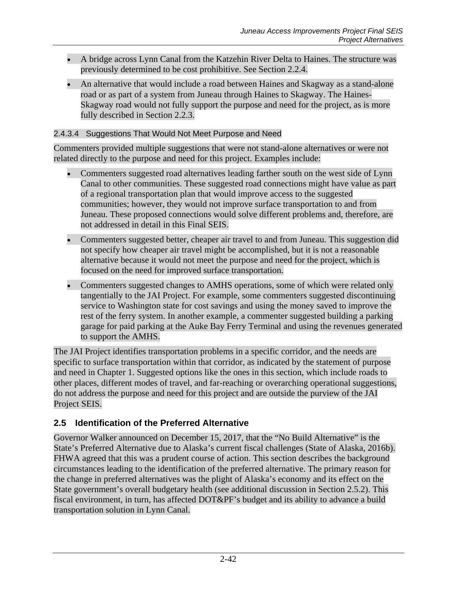- A bridge across Lynn Canal from the Katzehin River Delta to Haines. The structure was previously determined to be cost prohibitive. See Section [2.2.4.](#page-2-0)
- An alternative that would include a road between Haines and Skagway as a stand-alone road or as part of a system from Juneau through Haines to Skagway. The Haines-Skagway road would not fully support the purpose and need for the project, as is more fully described in Section [2.2.3.](#page-2-2)

### 2.4.3.4 Suggestions That Would Not Meet Purpose and Need

Commenters provided multiple suggestions that were not stand-alone alternatives or were not related directly to the purpose and need for this project. Examples include:

- Commenters suggested road alternatives leading farther south on the west side of Lynn Canal to other communities. These suggested road connections might have value as part of a regional transportation plan that would improve access to the suggested communities; however, they would not improve surface transportation to and from Juneau. These proposed connections would solve different problems and, therefore, are not addressed in detail in this Final SEIS.
- Commenters suggested better, cheaper air travel to and from Juneau. This suggestion did not specify how cheaper air travel might be accomplished, but it is not a reasonable alternative because it would not meet the purpose and need for the project, which is focused on the need for improved surface transportation.
- Commenters suggested changes to AMHS operations, some of which were related only tangentially to the JAI Project. For example, some commenters suggested discontinuing service to Washington state for cost savings and using the money saved to improve the rest of the ferry system. In another example, a commenter suggested building a parking garage for paid parking at the Auke Bay Ferry Terminal and using the revenues generated to support the AMHS.

The JAI Project identifies transportation problems in a specific corridor, and the needs are specific to surface transportation within that corridor, as indicated by the statement of purpose and need in Chapter 1. Suggested options like the ones in this section, which include roads to other places, different modes of travel, and far-reaching or overarching operational suggestions, do not address the purpose and need for this project and are outside the purview of the JAI Project SEIS.

# **2.5 Identification of the Preferred Alternative**

Governor Walker announced on December 15, 2017, that the "No Build Alternative" is the State's Preferred Alternative due to Alaska's current fiscal challenges (State of Alaska, 2016b). FHWA agreed that this was a prudent course of action. This section describes the background circumstances leading to the identification of the preferred alternative. The primary reason for the change in preferred alternatives was the plight of Alaska's economy and its effect on the State government's overall budgetary health (see additional discussion in Section [2.5.2\)](#page-44-0). This fiscal environment, in turn, has affected DOT&PF's budget and its ability to advance a build transportation solution in Lynn Canal.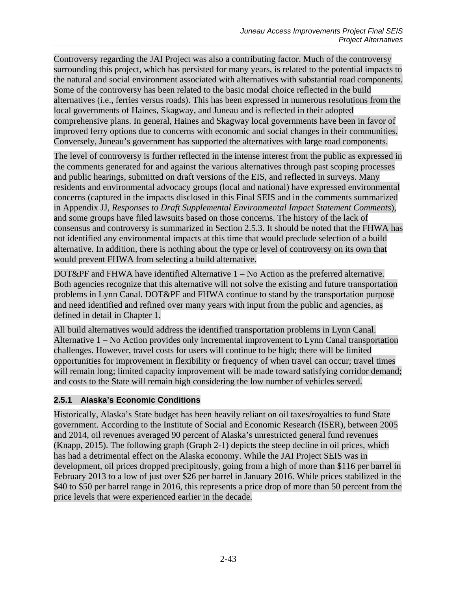Controversy regarding the JAI Project was also a contributing factor. Much of the controversy surrounding this project, which has persisted for many years, is related to the potential impacts to the natural and social environment associated with alternatives with substantial road components. Some of the controversy has been related to the basic modal choice reflected in the build alternatives (i.e., ferries versus roads). This has been expressed in numerous resolutions from the local governments of Haines, Skagway, and Juneau and is reflected in their adopted comprehensive plans. In general, Haines and Skagway local governments have been in favor of improved ferry options due to concerns with economic and social changes in their communities. Conversely, Juneau's government has supported the alternatives with large road components.

The level of controversy is further reflected in the intense interest from the public as expressed in the comments generated for and against the various alternatives through past scoping processes and public hearings, submitted on draft versions of the EIS, and reflected in surveys. Many residents and environmental advocacy groups (local and national) have expressed environmental concerns (captured in the impacts disclosed in this Final SEIS and in the comments summarized in Appendix JJ, *Responses to Draft Supplemental Environmental Impact Statement Comments*), and some groups have filed lawsuits based on those concerns. The history of the lack of consensus and controversy is summarized in Section [2.5.3.](#page-48-0) It should be noted that the FHWA has not identified any environmental impacts at this time that would preclude selection of a build alternative. In addition, there is nothing about the type or level of controversy on its own that would prevent FHWA from selecting a build alternative.

DOT&PF and FHWA have identified Alternative  $1 - No$  Action as the preferred alternative. Both agencies recognize that this alternative will not solve the existing and future transportation problems in Lynn Canal. DOT&PF and FHWA continue to stand by the transportation purpose and need identified and refined over many years with input from the public and agencies, as defined in detail in Chapter 1.

All build alternatives would address the identified transportation problems in Lynn Canal. Alternative 1 – No Action provides only incremental improvement to Lynn Canal transportation challenges. However, travel costs for users will continue to be high; there will be limited opportunities for improvement in flexibility or frequency of when travel can occur; travel times will remain long; limited capacity improvement will be made toward satisfying corridor demand; and costs to the State will remain high considering the low number of vehicles served.

# **2.5.1 Alaska's Economic Conditions**

Historically, Alaska's State budget has been heavily reliant on oil taxes/royalties to fund State government. According to the Institute of Social and Economic Research (ISER), between 2005 and 2014, oil revenues averaged 90 percent of Alaska's unrestricted general fund revenues (Knapp, 2015). The following graph [\(Graph 2-1\)](#page-43-0) depicts the steep decline in oil prices, which has had a detrimental effect on the Alaska economy. While the JAI Project SEIS was in development, oil prices dropped precipitously, going from a high of more than \$116 per barrel in February 2013 to a low of just over \$26 per barrel in January 2016. While prices stabilized in the \$40 to \$50 per barrel range in 2016, this represents a price drop of more than 50 percent from the price levels that were experienced earlier in the decade.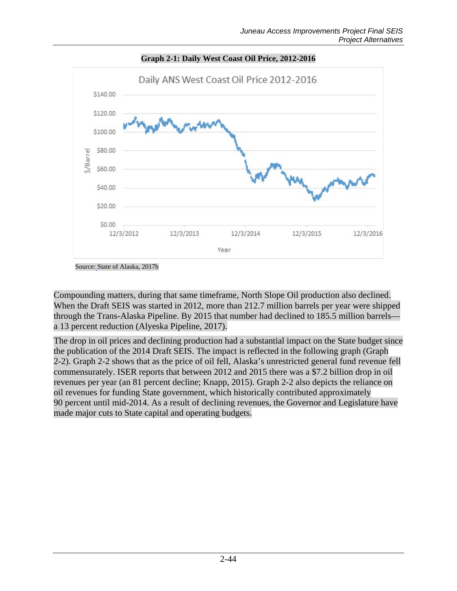<span id="page-43-0"></span>

**Graph 2-1: Daily West Coast Oil Price, 2012-2016**

Compounding matters, during that same timeframe, North Slope Oil production also declined. When the Draft SEIS was started in 2012, more than 212.7 million barrels per year were shipped through the Trans-Alaska Pipeline. By 2015 that number had declined to 185.5 million barrels a 13 percent reduction (Alyeska Pipeline, 2017).

The drop in oil prices and declining production had a substantial impact on the State budget since the publication of the 2014 Draft SEIS. The impact is reflected in the following graph [\(Graph](#page-44-1)  [2-2\)](#page-44-1). [Graph 2-2](#page-44-1) shows that as the price of oil fell, Alaska's unrestricted general fund revenue fell commensurately. ISER reports that between 2012 and 2015 there was a \$7.2 billion drop in oil revenues per year (an 81 percent decline; Knapp, 2015). [Graph 2-2](#page-44-1) also depicts the reliance on oil revenues for funding State government, which historically contributed approximately 90 percent until mid-2014. As a result of declining revenues, the Governor and Legislature have made major cuts to State capital and operating budgets.

Source: State of Alaska, 2017b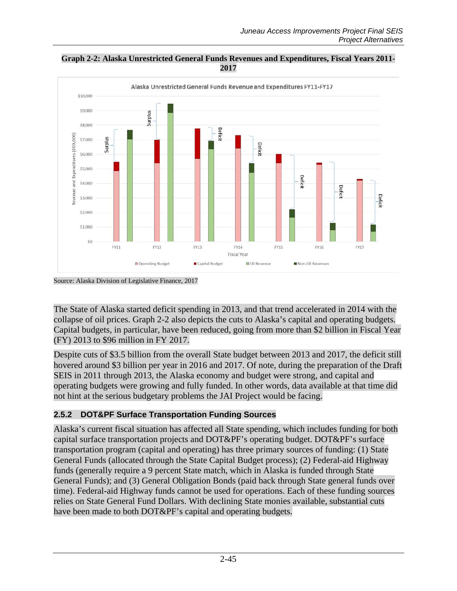

<span id="page-44-1"></span>**Graph 2-2: Alaska Unrestricted General Funds Revenues and Expenditures, Fiscal Years 2011- 2017**

Source: Alaska Division of Legislative Finance, 2017

The State of Alaska started deficit spending in 2013, and that trend accelerated in 2014 with the collapse of oil prices. [Graph 2-2](#page-44-1) also depicts the cuts to Alaska's capital and operating budgets. Capital budgets, in particular, have been reduced, going from more than \$2 billion in Fiscal Year (FY) 2013 to \$96 million in FY 2017.

Despite cuts of \$3.5 billion from the overall State budget between 2013 and 2017, the deficit still hovered around \$3 billion per year in 2016 and 2017. Of note, during the preparation of the Draft SEIS in 2011 through 2013, the Alaska economy and budget were strong, and capital and operating budgets were growing and fully funded. In other words, data available at that time did not hint at the serious budgetary problems the JAI Project would be facing.

# <span id="page-44-0"></span>**2.5.2 DOT&PF Surface Transportation Funding Sources**

Alaska's current fiscal situation has affected all State spending, which includes funding for both capital surface transportation projects and DOT&PF's operating budget. DOT&PF's surface transportation program (capital and operating) has three primary sources of funding: (1) State General Funds (allocated through the State Capital Budget process); (2) Federal-aid Highway funds (generally require a 9 percent State match, which in Alaska is funded through State General Funds); and (3) General Obligation Bonds (paid back through State general funds over time). Federal-aid Highway funds cannot be used for operations. Each of these funding sources relies on State General Fund Dollars. With declining State monies available, substantial cuts have been made to both DOT&PF's capital and operating budgets.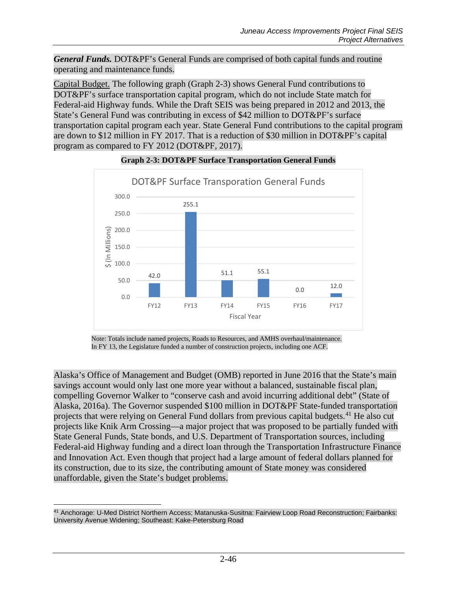*General Funds.* DOT&PF's General Funds are comprised of both capital funds and routine operating and maintenance funds.

Capital Budget. The following graph [\(Graph 2-3\)](#page-45-0) shows General Fund contributions to DOT&PF's surface transportation capital program, which do not include State match for Federal-aid Highway funds. While the Draft SEIS was being prepared in 2012 and 2013, the State's General Fund was contributing in excess of \$42 million to DOT&PF's surface transportation capital program each year. State General Fund contributions to the capital program are down to \$12 million in FY 2017. That is a reduction of \$30 million in DOT&PF's capital program as compared to FY 2012 (DOT&PF, 2017).

<span id="page-45-0"></span>

#### **Graph 2-3: DOT&PF Surface Transportation General Funds**

Note: Totals include named projects, Roads to Resources, and AMHS overhaul/maintenance. In FY 13, the Legislature funded a number of construction projects, including one ACF.

Alaska's Office of Management and Budget (OMB) reported in June 2016 that the State's main savings account would only last one more year without a balanced, sustainable fiscal plan, compelling Governor Walker to "conserve cash and avoid incurring additional debt" (State of Alaska, 2016a). The Governor suspended \$100 million in DOT&PF State-funded transportation projects that were relying on General Fund dollars from previous capital budgets.<sup>[41](#page-45-1)</sup> He also cut projects like Knik Arm Crossing—a major project that was proposed to be partially funded with State General Funds, State bonds, and U.S. Department of Transportation sources, including Federal-aid Highway funding and a direct loan through the Transportation Infrastructure Finance and Innovation Act. Even though that project had a large amount of federal dollars planned for its construction, due to its size, the contributing amount of State money was considered unaffordable, given the State's budget problems.

<span id="page-45-1"></span> $\overline{a}$ <sup>41</sup> Anchorage: U-Med District Northern Access; Matanuska-Susitna: Fairview Loop Road Reconstruction; Fairbanks: University Avenue Widening; Southeast: Kake-Petersburg Road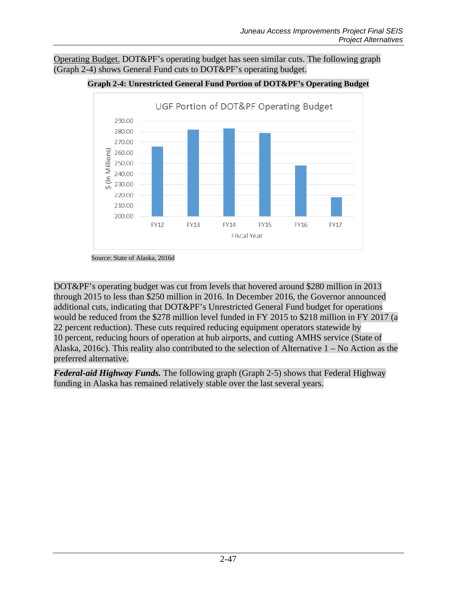<span id="page-46-0"></span>Operating Budget. DOT&PF's operating budget has seen similar cuts. The following graph [\(Graph 2-4\)](#page-46-0) shows General Fund cuts to DOT&PF's operating budget.



#### **Graph 2-4: Unrestricted General Fund Portion of DOT&PF's Operating Budget**

DOT&PF's operating budget was cut from levels that hovered around \$280 million in 2013 through 2015 to less than \$250 million in 2016. In December 2016, the Governor announced additional cuts, indicating that DOT&PF's Unrestricted General Fund budget for operations would be reduced from the \$278 million level funded in FY 2015 to \$218 million in FY 2017 (a 22 percent reduction). These cuts required reducing equipment operators statewide by 10 percent, reducing hours of operation at hub airports, and cutting AMHS service (State of Alaska, 2016c). This reality also contributed to the selection of Alternative 1 – No Action as the preferred alternative.

*Federal-aid Highway Funds.* The following graph (Graph 2-5) shows that Federal Highway funding in Alaska has remained relatively stable over the last several years.

Source: State of Alaska, 2016d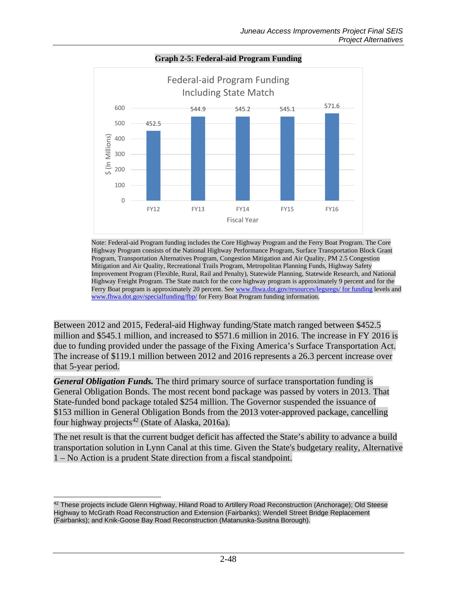

#### **Graph 2-5: Federal-aid Program Funding**

Note: Federal-aid Program funding includes the Core Highway Program and the Ferry Boat Program. The Core Highway Program consists of the National Highway Performance Program, Surface Transportation Block Grant Program, Transportation Alternatives Program, Congestion Mitigation and Air Quality, PM 2.5 Congestion Mitigation and Air Quality, Recreational Trails Program, Metropolitan Planning Funds, Highway Safety Improvement Program (Flexible, Rural, Rail and Penalty), Statewide Planning, Statewide Research, and National Highway Freight Program. The State match for the core highway program is approximately 9 percent and for the Ferry Boat program is approximately 20 percent. See [www.fhwa.dot.gov/resources/legsregs/ for funding](http://www.fhwa.dot.gov/resources/legsregs/%20for%20funding) levels and [www.fhwa.dot.gov/specialfunding/fbp/](http://www.fhwa.dot.gov/specialfunding/fbp/) for Ferry Boat Program funding information.

Between 2012 and 2015, Federal-aid Highway funding/State match ranged between \$452.5 million and \$545.1 million, and increased to \$571.6 million in 2016. The increase in FY 2016 is due to funding provided under the passage of the Fixing America's Surface Transportation Act. The increase of \$119.1 million between 2012 and 2016 represents a 26.3 percent increase over that 5-year period.

*General Obligation Funds*. The third primary source of surface transportation funding is General Obligation Bonds. The most recent bond package was passed by voters in 2013. That State-funded bond package totaled \$254 million. The Governor suspended the issuance of \$153 million in General Obligation Bonds from the 2013 voter-approved package, cancelling four highway projects<sup>[42](#page-47-0)</sup> (State of Alaska, 2016a).

The net result is that the current budget deficit has affected the State's ability to advance a build transportation solution in Lynn Canal at this time. Given the State's budgetary reality, Alternative 1 – No Action is a prudent State direction from a fiscal standpoint.

<span id="page-47-0"></span> $\overline{a}$ <sup>42</sup> These projects include Glenn Highway, Hiland Road to Artillery Road Reconstruction (Anchorage); Old Steese Highway to McGrath Road Reconstruction and Extension (Fairbanks); Wendell Street Bridge Replacement (Fairbanks); and Knik-Goose Bay Road Reconstruction (Matanuska-Susitna Borough).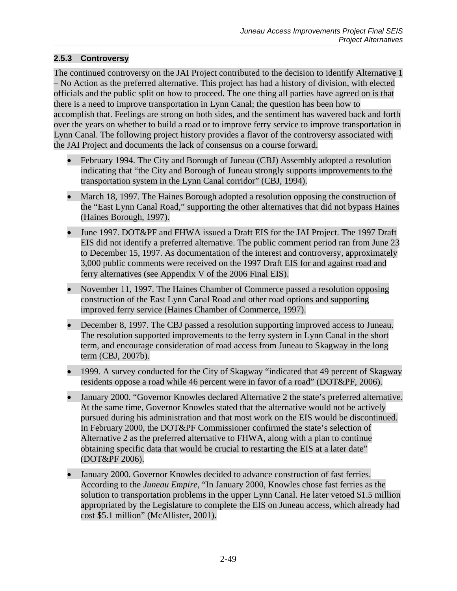# <span id="page-48-0"></span>**2.5.3 Controversy**

The continued controversy on the JAI Project contributed to the decision to identify Alternative 1 – No Action as the preferred alternative. This project has had a history of division, with elected officials and the public split on how to proceed. The one thing all parties have agreed on is that there is a need to improve transportation in Lynn Canal; the question has been how to accomplish that. Feelings are strong on both sides, and the sentiment has wavered back and forth over the years on whether to build a road or to improve ferry service to improve transportation in Lynn Canal. The following project history provides a flavor of the controversy associated with the JAI Project and documents the lack of consensus on a course forward.

- February 1994. The City and Borough of Juneau (CBJ) Assembly adopted a resolution indicating that "the City and Borough of Juneau strongly supports improvements to the transportation system in the Lynn Canal corridor" (CBJ, 1994).
- March 18, 1997. The Haines Borough adopted a resolution opposing the construction of the "East Lynn Canal Road," supporting the other alternatives that did not bypass Haines (Haines Borough, 1997).
- June 1997. DOT&PF and FHWA issued a Draft EIS for the JAI Project. The 1997 Draft EIS did not identify a preferred alternative. The public comment period ran from June 23 to December 15, 1997. As documentation of the interest and controversy, approximately 3,000 public comments were received on the 1997 Draft EIS for and against road and ferry alternatives (see Appendix V of the 2006 Final EIS).
- November 11, 1997. The Haines Chamber of Commerce passed a resolution opposing construction of the East Lynn Canal Road and other road options and supporting improved ferry service (Haines Chamber of Commerce, 1997).
- December 8, 1997. The CBJ passed a resolution supporting improved access to Juneau. The resolution supported improvements to the ferry system in Lynn Canal in the short term, and encourage consideration of road access from Juneau to Skagway in the long term (CBJ, 2007b).
- 1999. A survey conducted for the City of Skagway "indicated that 49 percent of Skagway" residents oppose a road while 46 percent were in favor of a road" (DOT&PF, 2006).
- January 2000. "Governor Knowles declared Alternative 2 the state's preferred alternative. At the same time, Governor Knowles stated that the alternative would not be actively pursued during his administration and that most work on the EIS would be discontinued. In February 2000, the DOT&PF Commissioner confirmed the state's selection of Alternative 2 as the preferred alternative to FHWA, along with a plan to continue obtaining specific data that would be crucial to restarting the EIS at a later date" (DOT&PF 2006).
- January 2000. Governor Knowles decided to advance construction of fast ferries. According to the *Juneau Empire*, "In January 2000, Knowles chose fast ferries as the solution to transportation problems in the upper Lynn Canal. He later vetoed \$1.5 million appropriated by the Legislature to complete the EIS on Juneau access, which already had cost \$5.1 million" (McAllister, 2001).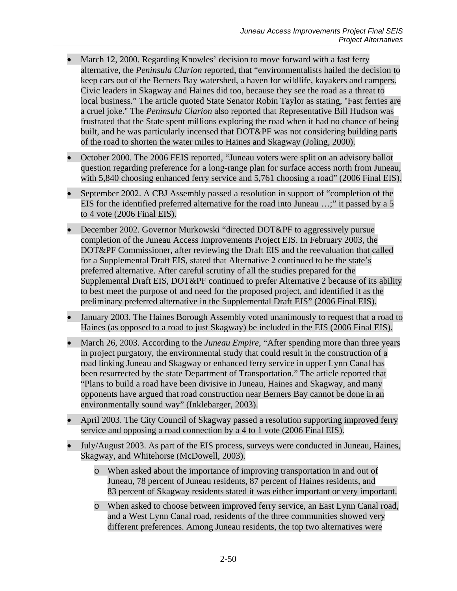- March 12, 2000. Regarding Knowles' decision to move forward with a fast ferry alternative, the *Peninsula Clarion* reported, that "environmentalists hailed the decision to keep cars out of the Berners Bay watershed, a haven for wildlife, kayakers and campers. Civic leaders in Skagway and Haines did too, because they see the road as a threat to local business." The article quoted State Senator Robin Taylor as stating, "Fast ferries are a cruel joke.'' The *Peninsula Clarion* also reported that Representative Bill Hudson was frustrated that the State spent millions exploring the road when it had no chance of being built, and he was particularly incensed that DOT&PF was not considering building parts of the road to shorten the water miles to Haines and Skagway (Joling, 2000).
- October 2000. The 2006 FEIS reported, "Juneau voters were split on an advisory ballot question regarding preference for a long-range plan for surface access north from Juneau, with 5,840 choosing enhanced ferry service and 5,761 choosing a road" (2006 Final EIS).
- September 2002. A CBJ Assembly passed a resolution in support of "completion of the EIS for the identified preferred alternative for the road into Juneau …;" it passed by a 5 to 4 vote (2006 Final EIS).
- December 2002. Governor Murkowski "directed DOT&PF to aggressively pursue completion of the Juneau Access Improvements Project EIS. In February 2003, the DOT&PF Commissioner, after reviewing the Draft EIS and the reevaluation that called for a Supplemental Draft EIS, stated that Alternative 2 continued to be the state's preferred alternative. After careful scrutiny of all the studies prepared for the Supplemental Draft EIS, DOT&PF continued to prefer Alternative 2 because of its ability to best meet the purpose of and need for the proposed project, and identified it as the preliminary preferred alternative in the Supplemental Draft EIS" (2006 Final EIS).
- January 2003. The Haines Borough Assembly voted unanimously to request that a road to Haines (as opposed to a road to just Skagway) be included in the EIS (2006 Final EIS).
- March 26, 2003. According to the *Juneau Empire*, "After spending more than three years in project purgatory, the environmental study that could result in the construction of a road linking Juneau and Skagway or enhanced ferry service in upper Lynn Canal has been resurrected by the state Department of Transportation." The article reported that "Plans to build a road have been divisive in Juneau, Haines and Skagway, and many opponents have argued that road construction near Berners Bay cannot be done in an environmentally sound way" (Inklebarger, 2003).
- April 2003. The City Council of Skagway passed a resolution supporting improved ferry service and opposing a road connection by a 4 to 1 vote (2006 Final EIS).
- July/August 2003. As part of the EIS process, surveys were conducted in Juneau, Haines, Skagway, and Whitehorse (McDowell, 2003).
	- o When asked about the importance of improving transportation in and out of Juneau, 78 percent of Juneau residents, 87 percent of Haines residents, and 83 percent of Skagway residents stated it was either important or very important.
	- o When asked to choose between improved ferry service, an East Lynn Canal road, and a West Lynn Canal road, residents of the three communities showed very different preferences. Among Juneau residents, the top two alternatives were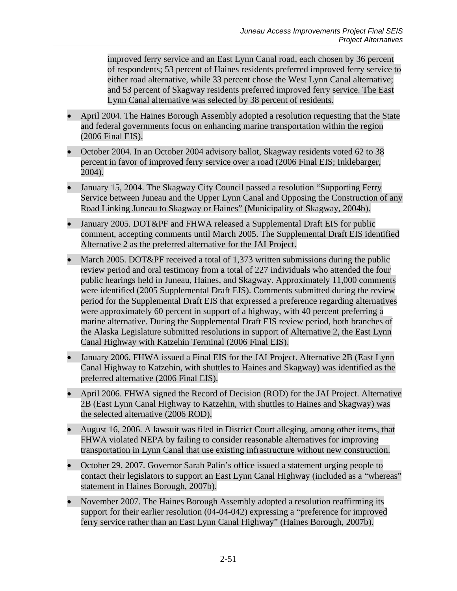improved ferry service and an East Lynn Canal road, each chosen by 36 percent of respondents; 53 percent of Haines residents preferred improved ferry service to either road alternative, while 33 percent chose the West Lynn Canal alternative; and 53 percent of Skagway residents preferred improved ferry service. The East Lynn Canal alternative was selected by 38 percent of residents.

- April 2004. The Haines Borough Assembly adopted a resolution requesting that the State and federal governments focus on enhancing marine transportation within the region (2006 Final EIS).
- October 2004. In an October 2004 advisory ballot, Skagway residents voted 62 to 38 percent in favor of improved ferry service over a road (2006 Final EIS; Inklebarger, 2004).
- January 15, 2004. The Skagway City Council passed a resolution "Supporting Ferry Service between Juneau and the Upper Lynn Canal and Opposing the Construction of any Road Linking Juneau to Skagway or Haines" (Municipality of Skagway, 2004b).
- January 2005. DOT&PF and FHWA released a Supplemental Draft EIS for public comment, accepting comments until March 2005. The Supplemental Draft EIS identified Alternative 2 as the preferred alternative for the JAI Project.
- March 2005. DOT&PF received a total of 1,373 written submissions during the public review period and oral testimony from a total of 227 individuals who attended the four public hearings held in Juneau, Haines, and Skagway. Approximately 11,000 comments were identified (2005 Supplemental Draft EIS). Comments submitted during the review period for the Supplemental Draft EIS that expressed a preference regarding alternatives were approximately 60 percent in support of a highway, with 40 percent preferring a marine alternative. During the Supplemental Draft EIS review period, both branches of the Alaska Legislature submitted resolutions in support of Alternative 2, the East Lynn Canal Highway with Katzehin Terminal (2006 Final EIS).
- January 2006. FHWA issued a Final EIS for the JAI Project. Alternative 2B (East Lynn Canal Highway to Katzehin, with shuttles to Haines and Skagway) was identified as the preferred alternative (2006 Final EIS).
- April 2006. FHWA signed the Record of Decision (ROD) for the JAI Project. Alternative 2B (East Lynn Canal Highway to Katzehin, with shuttles to Haines and Skagway) was the selected alternative (2006 ROD).
- August 16, 2006. A lawsuit was filed in District Court alleging, among other items, that FHWA violated NEPA by failing to consider reasonable alternatives for improving transportation in Lynn Canal that use existing infrastructure without new construction.
- October 29, 2007. Governor Sarah Palin's office issued a statement urging people to contact their legislators to support an East Lynn Canal Highway (included as a "whereas" statement in Haines Borough, 2007b).
- November 2007. The Haines Borough Assembly adopted a resolution reaffirming its support for their earlier resolution (04-04-042) expressing a "preference for improved ferry service rather than an East Lynn Canal Highway" (Haines Borough, 2007b).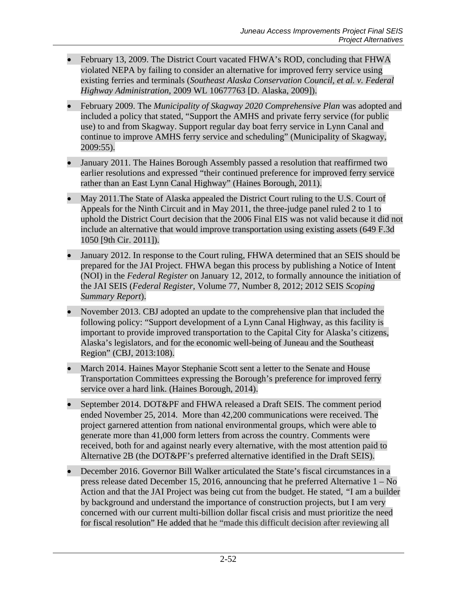- February 13, 2009. The District Court vacated FHWA's ROD, concluding that FHWA violated NEPA by failing to consider an alternative for improved ferry service using existing ferries and terminals (*Southeast Alaska Conservation Council, et al. v. Federal Highway Administration*, 2009 WL 10677763 [D. Alaska, 2009]).
- February 2009. The *Municipality of Skagway 2020 Comprehensive Plan* was adopted and included a policy that stated, "Support the AMHS and private ferry service (for public use) to and from Skagway. Support regular day boat ferry service in Lynn Canal and continue to improve AMHS ferry service and scheduling" (Municipality of Skagway, 2009:55).
- January 2011. The Haines Borough Assembly passed a resolution that reaffirmed two earlier resolutions and expressed "their continued preference for improved ferry service rather than an East Lynn Canal Highway" (Haines Borough, 2011).
- May 2011. The State of Alaska appealed the District Court ruling to the U.S. Court of Appeals for the Ninth Circuit and in May 2011, the three-judge panel ruled 2 to 1 to uphold the District Court decision that the 2006 Final EIS was not valid because it did not include an alternative that would improve transportation using existing assets (649 F.3d 1050 [9th Cir. 2011]).
- January 2012. In response to the Court ruling, FHWA determined that an SEIS should be prepared for the JAI Project. FHWA began this process by publishing a Notice of Intent (NOI) in the *Federal Register* on January 12, 2012, to formally announce the initiation of the JAI SEIS (*Federal Register*, Volume 77, Number 8, 2012; 2012 SEIS *Scoping Summary Report*).
- November 2013. CBJ adopted an update to the comprehensive plan that included the following policy: "Support development of a Lynn Canal Highway, as this facility is important to provide improved transportation to the Capital City for Alaska's citizens, Alaska's legislators, and for the economic well-being of Juneau and the Southeast Region" (CBJ, 2013:108).
- March 2014. Haines Mayor Stephanie Scott sent a letter to the Senate and House Transportation Committees expressing the Borough's preference for improved ferry service over a hard link. (Haines Borough, 2014).
- September 2014. DOT&PF and FHWA released a Draft SEIS. The comment period ended November 25, 2014. More than 42,200 communications were received. The project garnered attention from national environmental groups, which were able to generate more than 41,000 form letters from across the country. Comments were received, both for and against nearly every alternative, with the most attention paid to Alternative 2B (the DOT&PF's preferred alternative identified in the Draft SEIS).
- December 2016. Governor Bill Walker articulated the State's fiscal circumstances in a press release dated December 15, 2016, announcing that he preferred Alternative 1 – No Action and that the JAI Project was being cut from the budget. He stated, *"*I am a builder by background and understand the importance of construction projects, but I am very concerned with our current multi-billion dollar fiscal crisis and must prioritize the need for fiscal resolution" He added that he "made this difficult decision after reviewing all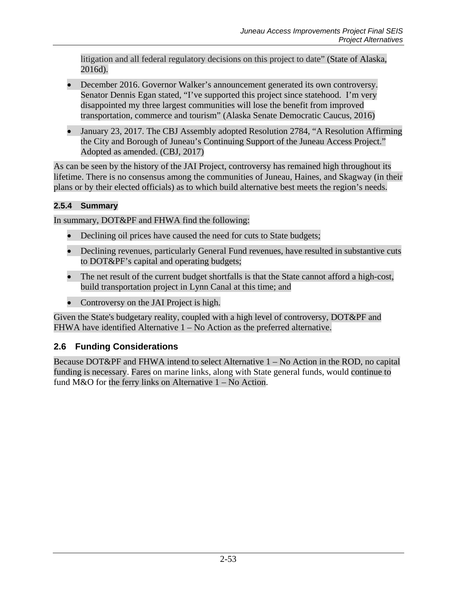litigation and all federal regulatory decisions on this project to date" (State of Alaska, 2016d).

- December 2016. Governor Walker's announcement generated its own controversy. Senator Dennis Egan stated, "I've supported this project since statehood. I'm very disappointed my three largest communities will lose the benefit from improved transportation, commerce and tourism" (Alaska Senate Democratic Caucus, 2016)
- January 23, 2017. The CBJ Assembly adopted Resolution 2784, "A Resolution Affirming the City and Borough of Juneau's Continuing Support of the Juneau Access Project." Adopted as amended. (CBJ, 2017)

As can be seen by the history of the JAI Project, controversy has remained high throughout its lifetime. There is no consensus among the communities of Juneau, Haines, and Skagway (in their plans or by their elected officials) as to which build alternative best meets the region's needs.

# **2.5.4 Summary**

In summary, DOT&PF and FHWA find the following:

- Declining oil prices have caused the need for cuts to State budgets;
- Declining revenues, particularly General Fund revenues, have resulted in substantive cuts to DOT&PF's capital and operating budgets;
- The net result of the current budget shortfalls is that the State cannot afford a high-cost, build transportation project in Lynn Canal at this time; and
- Controversy on the JAI Project is high.

Given the State's budgetary reality, coupled with a high level of controversy, DOT&PF and FHWA have identified Alternative 1 – No Action as the preferred alternative.

# **2.6 Funding Considerations**

Because DOT&PF and FHWA intend to select Alternative 1 – No Action in the ROD, no capital funding is necessary. Fares on marine links, along with State general funds, would continue to fund M&O for the ferry links on Alternative 1 – No Action.